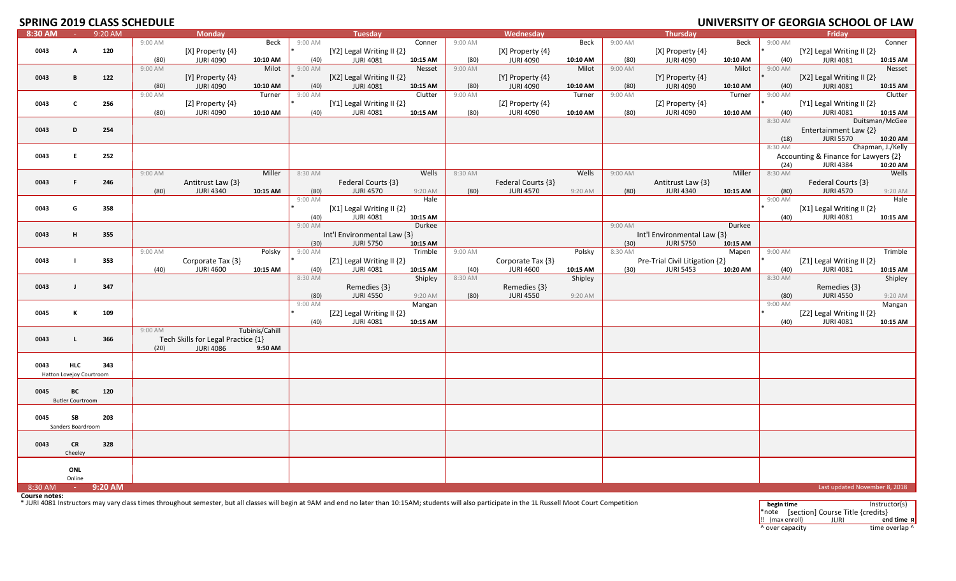# **SPRING 2019 CLASS SCHEDULE**

| 8:30 AM       | 14.1                     | 9:20 AM |           | <b>Monday</b>                      |                |         | <b>Tuesday</b>                                                                                                                                                                                             |          |         | Wednesday          |          |         | <b>Thursday</b>                | ----------------- |                    | Friday                               |                   |
|---------------|--------------------------|---------|-----------|------------------------------------|----------------|---------|------------------------------------------------------------------------------------------------------------------------------------------------------------------------------------------------------------|----------|---------|--------------------|----------|---------|--------------------------------|-------------------|--------------------|--------------------------------------|-------------------|
|               |                          |         | 9:00 AM   |                                    | Beck           | 9:00 AM |                                                                                                                                                                                                            | Conner   | 9:00 AM |                    | Beck     | 9:00 AM |                                | Beck              | 9:00 AM            |                                      | Conner            |
| 0043          | A                        | 120     |           | [X] Property $\{4\}$               |                |         | [Y2] Legal Writing II {2}                                                                                                                                                                                  |          |         | [X] Property {4}   |          |         | [X] Property {4}               |                   |                    | [Y2] Legal Writing II {2}            |                   |
|               |                          |         | (80)      | <b>JURI 4090</b>                   | 10:10 AM       | (40)    | <b>JURI 4081</b>                                                                                                                                                                                           | 10:15 AM | (80)    | <b>JURI 4090</b>   | 10:10 AM | (80)    | <b>JURI 4090</b>               | 10:10 AM          | (40)               | <b>JURI 4081</b>                     | 10:15 AM          |
|               |                          |         | 9:00 AM   |                                    | Milot          | 9:00 AM |                                                                                                                                                                                                            | Nesset   | 9:00 AM |                    | Milot    | 9:00 AM |                                | Milot             | 9:00 AM            |                                      | Nesset            |
| 0043          | B                        | 122     |           | [Y] Property $\{4\}$               |                |         | [X2] Legal Writing II $\{2\}$                                                                                                                                                                              |          |         | [Y] Property {4}   |          |         | [Y] Property {4}               |                   |                    | [X2] Legal Writing II $\{2\}$        |                   |
|               |                          |         | (80)      | <b>JURI 4090</b>                   | 10:10 AM       | (40)    | <b>JURI 4081</b>                                                                                                                                                                                           | 10:15 AM | (80)    | <b>JURI 4090</b>   | 10:10 AM | (80)    | <b>JURI 4090</b>               | 10:10 AM          | (40)               | <b>JURI 4081</b>                     | 10:15 AM          |
|               |                          |         | $9:00$ AM |                                    | Turner         | 9:00 AM |                                                                                                                                                                                                            | Clutter  | 9:00 AM |                    | Turner   | 9:00 AM |                                | Turner            | 9:00 AM            |                                      | Clutter           |
| 0043          | C                        | 256     |           | [Z] Property $\{4\}$               |                |         | [Y1] Legal Writing II {2}                                                                                                                                                                                  |          |         | [Z] Property {4}   |          |         | [Z] Property {4}               |                   |                    | [Y1] Legal Writing II $\{2\}$        |                   |
|               |                          |         | (80)      | <b>JURI 4090</b>                   | 10:10 AM       | (40)    | <b>JURI 4081</b>                                                                                                                                                                                           | 10:15 AM | (80)    | <b>JURI 4090</b>   | 10:10 AM | (80)    | <b>JURI 4090</b>               | 10:10 AM          | (40)               | <b>JURI 4081</b>                     | 10:15 AM          |
|               |                          |         |           |                                    |                |         |                                                                                                                                                                                                            |          |         |                    |          |         |                                |                   | 8:30 AM            |                                      | Duitsman/McGee    |
| 0043          | D                        | 254     |           |                                    |                |         |                                                                                                                                                                                                            |          |         |                    |          |         |                                |                   |                    | Entertainment Law {2}                |                   |
|               |                          |         |           |                                    |                |         |                                                                                                                                                                                                            |          |         |                    |          |         |                                |                   | (18)               | <b>JURI 5570</b>                     | 10:20 AM          |
|               |                          |         |           |                                    |                |         |                                                                                                                                                                                                            |          |         |                    |          |         |                                |                   | 8:30 AM            |                                      | Chapman, J./Kelly |
| 0043          | E.                       | 252     |           |                                    |                |         |                                                                                                                                                                                                            |          |         |                    |          |         |                                |                   |                    | Accounting & Finance for Lawyers {2} |                   |
|               |                          |         |           |                                    |                |         |                                                                                                                                                                                                            |          |         |                    |          |         |                                |                   | (24)               | <b>JURI 4384</b>                     | 10:20 AM          |
|               |                          |         | 9:00 AM   |                                    | Miller         | 8:30 AM |                                                                                                                                                                                                            | Wells    | 8:30 AM |                    | Wells    | 9:00 AM |                                | Miller            | 8:30 AM            |                                      | Wells             |
| 0043          | F.                       | 246     |           | Antitrust Law {3}                  |                |         | Federal Courts {3}                                                                                                                                                                                         |          |         | Federal Courts {3} |          |         | Antitrust Law {3}              |                   |                    | Federal Courts {3}                   |                   |
|               |                          |         | (80)      | <b>JURI 4340</b>                   | 10:15 AM       | (80)    | <b>JURI 4570</b>                                                                                                                                                                                           | 9:20 AM  | (80)    | <b>JURI 4570</b>   | 9:20 AM  | (80)    | <b>JURI 4340</b>               | 10:15 AM          | (80)               | <b>JURI 4570</b>                     | 9:20 AM           |
|               |                          |         |           |                                    |                | 9:00 AM |                                                                                                                                                                                                            | Hale     |         |                    |          |         |                                |                   | 9:00 AM            |                                      | Hale              |
| 0043          | G                        | 358     |           |                                    |                |         | [X1] Legal Writing II $\{2\}$                                                                                                                                                                              |          |         |                    |          |         |                                |                   |                    | [X1] Legal Writing II {2}            |                   |
|               |                          |         |           |                                    |                | (40)    | <b>JURI 4081</b>                                                                                                                                                                                           | 10:15 AM |         |                    |          |         |                                |                   | (40)               | <b>JURI 4081</b>                     | 10:15 AM          |
|               |                          |         |           |                                    |                | 9:00 AM |                                                                                                                                                                                                            | Durkee   |         |                    |          | 9:00 AM |                                | Durkee            |                    |                                      |                   |
| 0043          | H                        | 355     |           |                                    |                |         | Int'l Environmental Law {3}                                                                                                                                                                                |          |         |                    |          |         | Int'l Environmental Law {3}    |                   |                    |                                      |                   |
|               |                          |         |           |                                    |                | (30)    | <b>JURI 5750</b>                                                                                                                                                                                           | 10:15 AM |         |                    |          | (30)    | <b>JURI 5750</b>               | 10:15 AM          |                    |                                      |                   |
|               |                          |         | 9:00 AM   |                                    | Polsky         | 9:00 AM |                                                                                                                                                                                                            | Trimble  | 9:00 AM |                    | Polsky   | 8:30 AM |                                | Mapen             | 9:00 AM            |                                      | Trimble           |
| 0043          | $\blacksquare$           | 353     |           | Corporate Tax {3}                  |                |         | [ $Z1$ ] Legal Writing II $\{2\}$                                                                                                                                                                          |          |         | Corporate Tax {3}  |          |         | Pre-Trial Civil Litigation {2} |                   |                    | [Z1] Legal Writing II {2}            |                   |
|               |                          |         | (40)      | <b>JURI 4600</b>                   | 10:15 AM       | (40)    | <b>JURI 4081</b>                                                                                                                                                                                           | 10:15 AM | (40)    | <b>JURI 4600</b>   | 10:15 AM | (30)    | <b>JURI 5453</b>               | 10:20 AM          | (40)               | <b>JURI 4081</b>                     | 10:15 AM          |
|               |                          |         |           |                                    |                | 8:30 AM |                                                                                                                                                                                                            | Shipley  | 8:30 AM |                    | Shipley  |         |                                |                   | 8:30 AM            |                                      | Shipley           |
| 0043          | $\blacksquare$           | 347     |           |                                    |                |         | Remedies $\{3\}$                                                                                                                                                                                           |          |         | Remedies {3}       |          |         |                                |                   |                    | Remedies {3}                         |                   |
|               |                          |         |           |                                    |                | (80)    | <b>JURI 4550</b>                                                                                                                                                                                           | 9:20 AM  | (80)    | <b>JURI 4550</b>   | 9:20 AM  |         |                                |                   | (80)               | <b>JURI 4550</b>                     | 9:20 AM           |
|               |                          |         |           |                                    |                | 9:00 AM |                                                                                                                                                                                                            | Mangan   |         |                    |          |         |                                |                   | 9:00 AM            |                                      | Mangan            |
| 0045          | К                        | 109     |           |                                    |                |         | [Z2] Legal Writing II {2}                                                                                                                                                                                  |          |         |                    |          |         |                                |                   |                    | [Z2] Legal Writing II {2}            |                   |
|               |                          |         |           |                                    |                | (40)    | <b>JURI 4081</b>                                                                                                                                                                                           | 10:15 AM |         |                    |          |         |                                |                   | (40)               | <b>JURI 4081</b>                     | 10:15 AM          |
|               |                          |         | 9:00 AM   |                                    | Tubinis/Cahill |         |                                                                                                                                                                                                            |          |         |                    |          |         |                                |                   |                    |                                      |                   |
| 0043          | L                        | 366     |           | Tech Skills for Legal Practice {1} |                |         |                                                                                                                                                                                                            |          |         |                    |          |         |                                |                   |                    |                                      |                   |
|               |                          |         | (20)      | <b>JURI 4086</b>                   | 9:50 AM        |         |                                                                                                                                                                                                            |          |         |                    |          |         |                                |                   |                    |                                      |                   |
|               |                          |         |           |                                    |                |         |                                                                                                                                                                                                            |          |         |                    |          |         |                                |                   |                    |                                      |                   |
| 0043          | <b>HLC</b>               | 343     |           |                                    |                |         |                                                                                                                                                                                                            |          |         |                    |          |         |                                |                   |                    |                                      |                   |
|               | Hatton Lovejoy Courtroom |         |           |                                    |                |         |                                                                                                                                                                                                            |          |         |                    |          |         |                                |                   |                    |                                      |                   |
|               |                          |         |           |                                    |                |         |                                                                                                                                                                                                            |          |         |                    |          |         |                                |                   |                    |                                      |                   |
| 0045          | ВC                       | 120     |           |                                    |                |         |                                                                                                                                                                                                            |          |         |                    |          |         |                                |                   |                    |                                      |                   |
|               | <b>Butler Courtroom</b>  |         |           |                                    |                |         |                                                                                                                                                                                                            |          |         |                    |          |         |                                |                   |                    |                                      |                   |
|               |                          |         |           |                                    |                |         |                                                                                                                                                                                                            |          |         |                    |          |         |                                |                   |                    |                                      |                   |
| 0045          | SB                       | 203     |           |                                    |                |         |                                                                                                                                                                                                            |          |         |                    |          |         |                                |                   |                    |                                      |                   |
|               | Sanders Boardroom        |         |           |                                    |                |         |                                                                                                                                                                                                            |          |         |                    |          |         |                                |                   |                    |                                      |                   |
|               |                          |         |           |                                    |                |         |                                                                                                                                                                                                            |          |         |                    |          |         |                                |                   |                    |                                      |                   |
| 0043          | <b>CR</b>                | 328     |           |                                    |                |         |                                                                                                                                                                                                            |          |         |                    |          |         |                                |                   |                    |                                      |                   |
|               | Cheeley                  |         |           |                                    |                |         |                                                                                                                                                                                                            |          |         |                    |          |         |                                |                   |                    |                                      |                   |
|               |                          |         |           |                                    |                |         |                                                                                                                                                                                                            |          |         |                    |          |         |                                |                   |                    |                                      |                   |
|               | ONL                      |         |           |                                    |                |         |                                                                                                                                                                                                            |          |         |                    |          |         |                                |                   |                    |                                      |                   |
|               | Online                   |         |           |                                    |                |         |                                                                                                                                                                                                            |          |         |                    |          |         |                                |                   |                    |                                      |                   |
| 8:30 AM       | <b>College</b>           | 9:20 AM |           |                                    |                |         |                                                                                                                                                                                                            |          |         |                    |          |         |                                |                   |                    | Last updated November 8, 2018        |                   |
| Course notes: |                          |         |           |                                    |                |         | * JURI 4081 Instructors may vary class times throughout semester, but all classes will begin at 9AM and end no later than 10:15AM; students will also participate in the 1L Russell Moot Court Competition |          |         |                    |          |         |                                |                   |                    |                                      |                   |
|               |                          |         |           |                                    |                |         |                                                                                                                                                                                                            |          |         |                    |          |         |                                |                   | begin time<br>$-1$ | Isaatian Cause Title Losadite)       | Instructor(s)     |

| begin time                          |                                        | Instructor(s)            |
|-------------------------------------|----------------------------------------|--------------------------|
|                                     | *note [section] Course Title {credits} |                          |
| $\left  \cdot \right $ (max enroll) | IURI                                   | end time $\vert x \vert$ |
| ^ over capacity                     |                                        | time overlap ^           |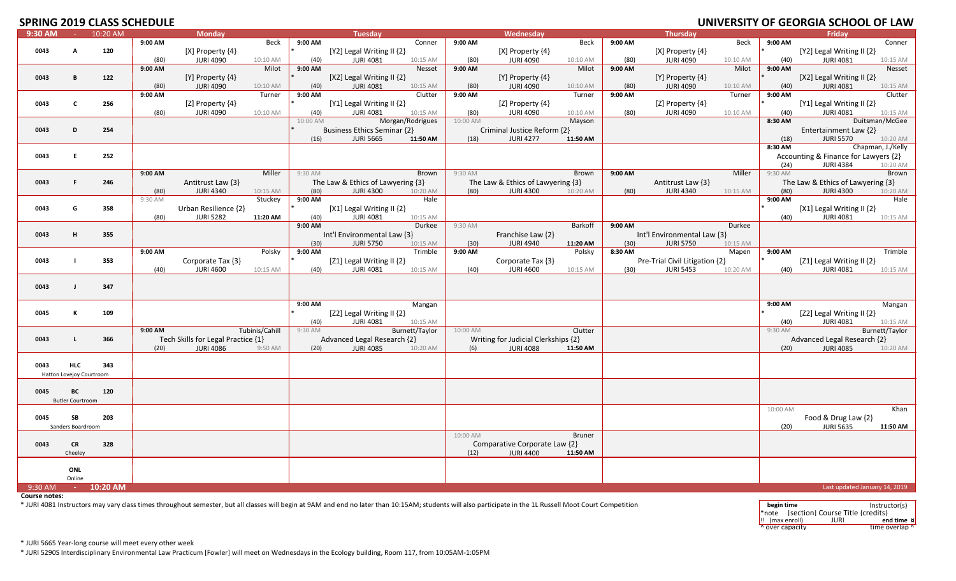## **SPRING 2019 CLASS SCHEDLILE**

|         |                          |            | UIJ CLAJJ JCHLDULL |                                    |                |          |                                    |                  |          |                                     |                |         |                                |          |           | <u>UNIVERSITI UL JEURUM JUNU</u>     | יתו וט            |
|---------|--------------------------|------------|--------------------|------------------------------------|----------------|----------|------------------------------------|------------------|----------|-------------------------------------|----------------|---------|--------------------------------|----------|-----------|--------------------------------------|-------------------|
| 9:30 AM | $\sim 10^{-1}$           | 10:20 AM   |                    | <b>Monday</b>                      |                |          | <b>Tuesday</b>                     |                  |          | Wednesday                           |                |         | <b>Thursday</b>                |          |           | Fridav                               |                   |
|         |                          |            | 9:00 AM            |                                    | Beck           | 9:00 AM  |                                    | Conner           | 9:00 AM  |                                     | Beck           | 9:00 AM |                                | Beck     | 9:00 AM   |                                      | Conner            |
| 0043    | A                        | 120        |                    | [X] Property {4}                   |                |          | [Y2] Legal Writing II {2}          |                  |          | [X] Property {4}                    |                |         | $[X]$ Property $\{4\}$         |          |           | [Y2] Legal Writing II {2}            |                   |
|         |                          |            | (80)               | <b>JURI 4090</b>                   | 10:10 AM       | (40)     | <b>JURI 4081</b>                   | 10:15 AM         | (80)     | <b>JURI 4090</b>                    | 10:10 AM       | (80)    | <b>JURI 4090</b>               | 10:10 AM | (40)      | <b>JURI 4081</b>                     | 10:15 AM          |
|         |                          |            | 9:00 AM            |                                    | Milot          | 9:00 AM  |                                    | Nesset           | 9:00 AM  |                                     | Milot          | 9:00 AM |                                | Milot    | 9:00 AM   |                                      | Nesset            |
| 0043    | B                        | 122        |                    |                                    |                |          |                                    |                  |          |                                     |                |         |                                |          |           |                                      |                   |
|         |                          |            |                    | [Y] Property {4}                   |                |          | [X2] Legal Writing II {2}          |                  |          | [Y] Property {4}                    |                |         | [Y] Property {4}               |          |           | [X2] Legal Writing II {2}            |                   |
|         |                          |            | (80)               | <b>JURI 4090</b>                   | 10:10 AM       | (40)     | <b>JURI 4081</b>                   | 10:15 AM         | (80)     | <b>JURI 4090</b>                    | 10:10 AM       | (80)    | <b>JURI 4090</b>               | 10:10 AM | (40)      | <b>JURI 4081</b>                     | 10:15 AM          |
|         |                          |            | 9:00 AM            |                                    | Turner         | 9:00 AM  |                                    | Clutter          | 9:00 AM  |                                     | Turner         | 9:00 AM |                                | Turner   | 9:00 AM   |                                      | Clutter           |
| 0043    | $\mathbf{c}$             | 256        |                    | [Z] Property $\{4\}$               |                |          | [Y1] Legal Writing II $\{2\}$      |                  |          | [Z] Property $\{4\}$                |                |         | [Z] Property $\{4\}$           |          |           | [Y1] Legal Writing II {2}            |                   |
|         |                          |            | (80)               | <b>JURI 4090</b>                   | 10:10 AM       | (40)     | <b>JURI 4081</b>                   | 10:15 AM         | (80)     | <b>JURI 4090</b>                    | 10:10 AM       | (80)    | <b>JURI 4090</b>               | 10:10 AM | (40)      | <b>JURI 4081</b>                     | 10:15 AM          |
|         |                          |            |                    |                                    |                | 10:00 AM |                                    | Morgan/Rodrigues | 10:00 AM |                                     | Mayson         |         |                                |          | 8:30 AM   |                                      | Duitsman/McGee    |
| 0043    | D                        | 254        |                    |                                    |                |          | <b>Business Ethics Seminar {2}</b> |                  |          | Criminal Justice Reform {2}         |                |         |                                |          |           | Entertainment Law {2}                |                   |
|         |                          |            |                    |                                    |                |          |                                    |                  |          |                                     |                |         |                                |          |           |                                      |                   |
|         |                          |            |                    |                                    |                | (16)     | <b>JURI 5665</b>                   | 11:50 AM         | (18)     | <b>JURI 4277</b>                    | 11:50 AM       |         |                                |          | (18)      | <b>JURI 5570</b>                     | 10:20 AM          |
|         |                          |            |                    |                                    |                |          |                                    |                  |          |                                     |                |         |                                |          | 8:30 AM   |                                      | Chapman, J./Kelly |
| 0043    | E.                       | 252        |                    |                                    |                |          |                                    |                  |          |                                     |                |         |                                |          |           | Accounting & Finance for Lawyers {2} |                   |
|         |                          |            |                    |                                    |                |          |                                    |                  |          |                                     |                |         |                                |          | (24)      | <b>JURI 4384</b>                     | 10:20 AM          |
|         |                          |            | 9:00 AM            |                                    | Miller         | 9:30 AM  |                                    | Brown            | 9:30 AM  |                                     | Brown          | 9:00 AM |                                | Miller   | $9:30$ AM |                                      | Brown             |
| 0043    | F.                       | 246        |                    | Antitrust Law {3}                  |                |          | The Law & Ethics of Lawyering {3}  |                  |          | The Law & Ethics of Lawyering {3}   |                |         | Antitrust Law {3}              |          |           | The Law & Ethics of Lawyering {3}    |                   |
|         |                          |            | (80)               | <b>JURI 4340</b>                   | 10:15 AM       | (80)     | <b>JURI 4300</b>                   | 10:20 AM         | (80)     | <b>JURI 4300</b>                    | 10:20 AM       | (80)    | <b>JURI 4340</b>               | 10:15 AM | (80)      | <b>JURI 4300</b>                     | 10:20 AM          |
|         |                          |            |                    |                                    |                |          |                                    |                  |          |                                     |                |         |                                |          |           |                                      |                   |
|         |                          |            | 9:30 AM            |                                    | Stuckey        | 9:00 AM  |                                    | Hale             |          |                                     |                |         |                                |          | 9:00 AM   |                                      | Hale              |
| 0043    | G                        | 358        |                    | Urban Resilience {2}               |                |          | [X1] Legal Writing II {2}          |                  |          |                                     |                |         |                                |          |           | [X1] Legal Writing II {2}            |                   |
|         |                          |            | (80)               | <b>JURI 5282</b>                   | 11:20 AM       | (40)     | <b>JURI 4081</b>                   | 10:15 AM         |          |                                     |                |         |                                |          | (40)      | <b>JURI 4081</b>                     | 10:15 AM          |
|         |                          |            |                    |                                    |                | 9:00 AM  |                                    | Durkee           | 9:30 AM  |                                     | <b>Barkoff</b> | 9:00 AM |                                | Durkee   |           |                                      |                   |
| 0043    | н                        | 355        |                    |                                    |                |          | Int'l Environmental Law {3}        |                  |          | Franchise Law {2}                   |                |         | Int'l Environmental Law {3}    |          |           |                                      |                   |
|         |                          |            |                    |                                    |                | (30)     | <b>JURI 5750</b>                   | 10:15 AM         | (30)     | <b>JURI 4940</b>                    | 11:20 AM       | (30)    | <b>JURI 5750</b>               | 10:15 AM |           |                                      |                   |
|         |                          |            | 9:00 AM            |                                    | Polsky         | 9:00 AM  |                                    | Trimble          | 9:00 AM  |                                     | Polsky         | 8:30 AM |                                | Mapen    | 9:00 AM   |                                      | Trimble           |
|         |                          |            |                    |                                    |                |          |                                    |                  |          |                                     |                |         |                                |          |           |                                      |                   |
| 0043    |                          | 353        |                    | Corporate Tax {3}                  |                |          | [Z1] Legal Writing II {2}          |                  |          | Corporate Tax {3}                   |                |         | Pre-Trial Civil Litigation {2} |          |           | [Z1] Legal Writing II {2}            |                   |
|         |                          |            | (40)               | <b>JURI 4600</b>                   | 10:15 AM       | (40)     | <b>JURI 4081</b>                   | 10:15 AM         | (40)     | <b>JURI 4600</b>                    | 10:15 AM       | (30)    | <b>JURI 5453</b>               | 10:20 AM | (40)      | <b>JURI 4081</b>                     | 10:15 AM          |
|         |                          |            |                    |                                    |                |          |                                    |                  |          |                                     |                |         |                                |          |           |                                      |                   |
| 0043    | $\mathbf{J}$             | 347        |                    |                                    |                |          |                                    |                  |          |                                     |                |         |                                |          |           |                                      |                   |
|         |                          |            |                    |                                    |                |          |                                    |                  |          |                                     |                |         |                                |          |           |                                      |                   |
|         |                          |            |                    |                                    |                | 9:00 AM  |                                    | Mangan           |          |                                     |                |         |                                |          | 9:00 AM   |                                      | Mangan            |
| 0045    | к                        | 109        |                    |                                    |                |          | [Z2] Legal Writing II {2}          |                  |          |                                     |                |         |                                |          |           | [Z2] Legal Writing II {2}            |                   |
|         |                          |            |                    |                                    |                |          | <b>JURI 4081</b>                   | 10:15 AM         |          |                                     |                |         |                                |          | (40)      | <b>JURI 4081</b>                     | 10:15 AM          |
|         |                          |            |                    |                                    |                | (40)     |                                    |                  |          |                                     |                |         |                                |          |           |                                      |                   |
|         |                          |            | 9:00 AM            |                                    | Tubinis/Cahill | 9:30 AM  |                                    | Burnett/Taylor   | 10:00 AM |                                     | Clutter        |         |                                |          | 9:30 AM   |                                      | Burnett/Taylor    |
| 0043    | τ.                       | 366        |                    | Tech Skills for Legal Practice {1} |                |          | Advanced Legal Research {2}        |                  |          | Writing for Judicial Clerkships {2} |                |         |                                |          |           | Advanced Legal Research {2}          |                   |
|         |                          |            | (20)               | <b>JURI 4086</b>                   | 9:50 AM        | (20)     | <b>JURI 4085</b>                   | 10:20 AM         | (6)      | <b>JURI 4088</b>                    | 11:50 AM       |         |                                |          | (20)      | <b>JURI 4085</b>                     | 10:20 AM          |
|         |                          |            |                    |                                    |                |          |                                    |                  |          |                                     |                |         |                                |          |           |                                      |                   |
| 0043    | <b>HLC</b>               | 343        |                    |                                    |                |          |                                    |                  |          |                                     |                |         |                                |          |           |                                      |                   |
|         | Hatton Lovejoy Courtroom |            |                    |                                    |                |          |                                    |                  |          |                                     |                |         |                                |          |           |                                      |                   |
|         |                          |            |                    |                                    |                |          |                                    |                  |          |                                     |                |         |                                |          |           |                                      |                   |
| 0045    | BC                       | 120        |                    |                                    |                |          |                                    |                  |          |                                     |                |         |                                |          |           |                                      |                   |
|         |                          |            |                    |                                    |                |          |                                    |                  |          |                                     |                |         |                                |          |           |                                      |                   |
|         | <b>Butler Courtroom</b>  |            |                    |                                    |                |          |                                    |                  |          |                                     |                |         |                                |          |           |                                      |                   |
|         |                          |            |                    |                                    |                |          |                                    |                  |          |                                     |                |         |                                |          | 10:00 AM  |                                      | Khan              |
| 0045    | SB                       | 203        |                    |                                    |                |          |                                    |                  |          |                                     |                |         |                                |          |           | Food & Drug Law {2}                  |                   |
|         | Sanders Boardroom        |            |                    |                                    |                |          |                                    |                  |          |                                     |                |         |                                |          | (20)      | <b>JURI 5635</b>                     | 11:50 AM          |
|         |                          |            |                    |                                    |                |          |                                    |                  | 10:00 AM |                                     | <b>Bruner</b>  |         |                                |          |           |                                      |                   |
| 0043    | <b>CR</b>                | 328        |                    |                                    |                |          |                                    |                  |          | Comparative Corporate Law {2}       |                |         |                                |          |           |                                      |                   |
|         | Cheeley                  |            |                    |                                    |                |          |                                    |                  | (12)     | <b>JURI 4400</b>                    | 11:50 AM       |         |                                |          |           |                                      |                   |
|         |                          |            |                    |                                    |                |          |                                    |                  |          |                                     |                |         |                                |          |           |                                      |                   |
|         |                          |            |                    |                                    |                |          |                                    |                  |          |                                     |                |         |                                |          |           |                                      |                   |
|         | ONL                      |            |                    |                                    |                |          |                                    |                  |          |                                     |                |         |                                |          |           |                                      |                   |
|         | Online                   |            |                    |                                    |                |          |                                    |                  |          |                                     |                |         |                                |          |           |                                      |                   |
| 9:30 AM | $\sim 10^{-1}$           | $10:20$ AM |                    |                                    |                |          |                                    |                  |          |                                     |                |         |                                |          |           | Last updated January 14, 2019        |                   |
|         |                          |            |                    |                                    |                |          |                                    |                  |          |                                     |                |         |                                |          |           |                                      |                   |

**Course notes:**

\* JURI 4081 Instructors may vary class times throughout semester, but all classes will begin at 9AM and end no later than 10:15AM; students will also participate in the 1L Russell Moot Court Competition **but any coupled as** 

\*note [section] Course Title {credits} \* Instructors may vary class times throughout semester, but all classes will begin at 9AM and end no later than 10:15AM; students will also participate in the 1L Russell Moot Court Competition !! (max enroll) JURI **end time ¤** \* Instructors may vary class times throughout semester, but all classes will begin at 9AM and end no later than 10:15AM; students will also participate in the 1L Russell Moot Court Competition ^ $\overline{\phantom{a}}^{\text{A}}$  over capacity time overlap  $\overline{\phantom{a}}^{\text{A}}$ 

\* JURI 5665 Year‐long course will meet every other week

\* JURI 5290S Interdisciplinary Environmental Law Practicum [Fowler] will meet on Wednesdays in the Ecology building, Room 117, from 10:05AM‐1:05PM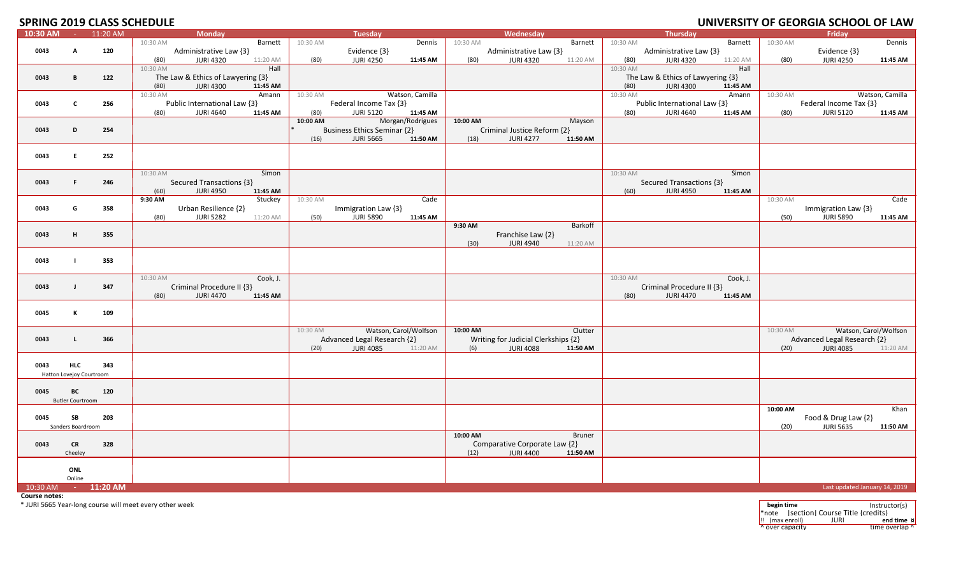# **2019 CLASS SCHEDULE UNIVERSITY OF GEORGIA SCHOOL OF LAW**

| 10:30 AM | <b>Contractor</b>                      | 11:20 AM            | <b>Monday</b>                        |          | Tuesday                            |          |          | Wednesday                           |          |          | Thursday                                                                                                                                                                                                                       |          |          | Friday                        |                       |
|----------|----------------------------------------|---------------------|--------------------------------------|----------|------------------------------------|----------|----------|-------------------------------------|----------|----------|--------------------------------------------------------------------------------------------------------------------------------------------------------------------------------------------------------------------------------|----------|----------|-------------------------------|-----------------------|
|          |                                        |                     | 10:30 AM<br>Barnett                  | 10:30 AM |                                    | Dennis   | 10:30 AM |                                     | Barnett  | 10:30 AM |                                                                                                                                                                                                                                | Barnett  | 10:30 AM |                               | Dennis                |
| 0043     | A                                      | 120                 | Administrative Law {3}               |          | Evidence {3}                       |          |          | Administrative Law {3}              |          |          | Administrative Law {3}                                                                                                                                                                                                         |          |          | Evidence {3}                  |                       |
|          |                                        |                     | 11:20 AM<br>(80)<br>JURI 4320        | (80)     | <b>JURI 4250</b>                   | 11:45 AM | (80)     | JURI 4320                           | 11:20 AM | (80)     | JURI 4320                                                                                                                                                                                                                      | 11:20 AM | (80)     | <b>JURI 4250</b>              | 11:45 AM              |
|          |                                        |                     | 10:30 AM<br>Hall                     |          |                                    |          |          |                                     |          | 10:30 AM |                                                                                                                                                                                                                                | Hall     |          |                               |                       |
| 0043     | B                                      | 122                 | The Law & Ethics of Lawyering {3}    |          |                                    |          |          |                                     |          |          | The Law & Ethics of Lawyering {3}                                                                                                                                                                                              |          |          |                               |                       |
|          |                                        |                     | <b>JURI 4300</b><br>(80)<br>11:45 AM |          |                                    |          |          |                                     |          | (80)     | <b>JURI 4300</b>                                                                                                                                                                                                               | 11:45 AM |          |                               |                       |
|          |                                        |                     | 10:30 AM<br>Amann                    | 10:30 AM | Watson, Camilla                    |          |          |                                     |          | 10:30 AM |                                                                                                                                                                                                                                | Amann    | 10:30 AM |                               | Watson, Camilla       |
| 0043     | $\mathbf{C}$                           | 256                 | Public International Law {3}         |          | Federal Income Tax {3}             |          |          |                                     |          |          | Public International Law {3}                                                                                                                                                                                                   |          |          | Federal Income Tax {3}        |                       |
|          |                                        |                     | JURI 4640<br>11:45 AM<br>(80)        | (80)     | <b>JURI 5120</b>                   | 11:45 AM |          |                                     |          | (80)     | JURI 4640                                                                                                                                                                                                                      | 11:45 AM | (80)     | <b>JURI 5120</b>              | 11:45 AM              |
|          |                                        |                     |                                      | 10:00 AM | Morgan/Rodrigues                   |          | 10:00 AM |                                     | Mayson   |          |                                                                                                                                                                                                                                |          |          |                               |                       |
| 0043     | D                                      | 254                 |                                      |          | <b>Business Ethics Seminar {2}</b> |          |          | Criminal Justice Reform {2}         |          |          |                                                                                                                                                                                                                                |          |          |                               |                       |
|          |                                        |                     |                                      | (16)     | <b>JURI 5665</b>                   | 11:50 AM | (18)     | <b>JURI 4277</b>                    | 11:50 AM |          |                                                                                                                                                                                                                                |          |          |                               |                       |
|          |                                        |                     |                                      |          |                                    |          |          |                                     |          |          |                                                                                                                                                                                                                                |          |          |                               |                       |
| 0043     | Е.                                     | 252                 |                                      |          |                                    |          |          |                                     |          |          |                                                                                                                                                                                                                                |          |          |                               |                       |
|          |                                        |                     |                                      |          |                                    |          |          |                                     |          |          |                                                                                                                                                                                                                                |          |          |                               |                       |
|          |                                        |                     | 10:30 AM<br>Simon                    |          |                                    |          |          |                                     |          | 10:30 AM |                                                                                                                                                                                                                                | Simon    |          |                               |                       |
| 0043     | F.                                     | 246                 | Secured Transactions {3}             |          |                                    |          |          |                                     |          |          | Secured Transactions {3}                                                                                                                                                                                                       |          |          |                               |                       |
|          |                                        |                     | <b>JURI 4950</b><br>11:45 AM<br>(60) |          |                                    |          |          |                                     |          | (60)     | <b>JURI 4950</b>                                                                                                                                                                                                               | 11:45 AM |          |                               |                       |
|          |                                        |                     | 9:30 AM<br>Stuckey                   | 10:30 AM |                                    | Cade     |          |                                     |          |          |                                                                                                                                                                                                                                |          | 10:30 AM |                               | Cade                  |
| 0043     | G                                      | 358                 | Urban Resilience {2}                 |          | Immigration Law {3}                |          |          |                                     |          |          |                                                                                                                                                                                                                                |          |          | Immigration Law {3}           |                       |
|          |                                        |                     | <b>JURI 5282</b><br>(80)<br>11:20 AM | (50)     | <b>JURI 5890</b>                   | 11:45 AM |          |                                     |          |          |                                                                                                                                                                                                                                |          | (50)     | <b>JURI 5890</b>              | 11:45 AM              |
|          |                                        |                     |                                      |          |                                    |          | 9:30 AM  |                                     | Barkoff  |          |                                                                                                                                                                                                                                |          |          |                               |                       |
| 0043     | н                                      | 355                 |                                      |          |                                    |          |          | Franchise Law {2}                   |          |          |                                                                                                                                                                                                                                |          |          |                               |                       |
|          |                                        |                     |                                      |          |                                    |          | (30)     | <b>JURI 4940</b>                    | 11:20 AM |          |                                                                                                                                                                                                                                |          |          |                               |                       |
|          |                                        |                     |                                      |          |                                    |          |          |                                     |          |          |                                                                                                                                                                                                                                |          |          |                               |                       |
| 0043     |                                        | 353                 |                                      |          |                                    |          |          |                                     |          |          |                                                                                                                                                                                                                                |          |          |                               |                       |
|          |                                        |                     |                                      |          |                                    |          |          |                                     |          |          |                                                                                                                                                                                                                                |          |          |                               |                       |
|          |                                        |                     | Cook, J.<br>10:30 AM                 |          |                                    |          |          |                                     |          |          | 10:30 AM and the state of the state of the state of the state of the state of the state of the state of the state of the state of the state of the state of the state of the state of the state of the state of the state of t | Cook, J. |          |                               |                       |
| 0043     | $\mathbf{I}$                           | 347                 | Criminal Procedure II {3}            |          |                                    |          |          |                                     |          |          | Criminal Procedure II {3}                                                                                                                                                                                                      |          |          |                               |                       |
|          |                                        |                     | JURI 4470<br>11:45 AM<br>(80)        |          |                                    |          |          |                                     |          | (80)     | <b>JURI 4470</b>                                                                                                                                                                                                               | 11:45 AM |          |                               |                       |
|          |                                        |                     |                                      |          |                                    |          |          |                                     |          |          |                                                                                                                                                                                                                                |          |          |                               |                       |
| 0045     | К                                      | 109                 |                                      |          |                                    |          |          |                                     |          |          |                                                                                                                                                                                                                                |          |          |                               |                       |
|          |                                        |                     |                                      |          |                                    |          |          |                                     |          |          |                                                                                                                                                                                                                                |          |          |                               |                       |
|          |                                        |                     |                                      | 10:30 AM | Watson, Carol/Wolfson              |          | 10:00 AM |                                     | Clutter  |          |                                                                                                                                                                                                                                |          | 10:30 AM |                               | Watson, Carol/Wolfson |
| 0043     | $\mathbf{L}$                           | 366                 |                                      |          | Advanced Legal Research {2}        |          |          | Writing for Judicial Clerkships {2} |          |          |                                                                                                                                                                                                                                |          |          | Advanced Legal Research {2}   |                       |
|          |                                        |                     |                                      | (20)     | <b>JURI 4085</b>                   | 11:20 AM | (6)      | <b>JURI 4088</b>                    | 11:50 AM |          |                                                                                                                                                                                                                                |          | (20)     | <b>JURI 4085</b>              | 11:20 AM              |
|          |                                        |                     |                                      |          |                                    |          |          |                                     |          |          |                                                                                                                                                                                                                                |          |          |                               |                       |
| 0043     | <b>HLC</b><br>Hatton Lovejoy Courtroom | 343                 |                                      |          |                                    |          |          |                                     |          |          |                                                                                                                                                                                                                                |          |          |                               |                       |
|          |                                        |                     |                                      |          |                                    |          |          |                                     |          |          |                                                                                                                                                                                                                                |          |          |                               |                       |
| 0045     | BC                                     | 120                 |                                      |          |                                    |          |          |                                     |          |          |                                                                                                                                                                                                                                |          |          |                               |                       |
|          | <b>Butler Courtroom</b>                |                     |                                      |          |                                    |          |          |                                     |          |          |                                                                                                                                                                                                                                |          |          |                               |                       |
|          |                                        |                     |                                      |          |                                    |          |          |                                     |          |          |                                                                                                                                                                                                                                |          | 10:00 AM |                               | Khan                  |
| 0045     | SB                                     | 203                 |                                      |          |                                    |          |          |                                     |          |          |                                                                                                                                                                                                                                |          |          | Food & Drug Law {2}           |                       |
|          | Sanders Boardroom                      |                     |                                      |          |                                    |          |          |                                     |          |          |                                                                                                                                                                                                                                |          | (20)     | <b>JURI 5635</b>              | 11:50 AM              |
|          |                                        |                     |                                      |          |                                    |          | 10:00 AM |                                     | Bruner   |          |                                                                                                                                                                                                                                |          |          |                               |                       |
| 0043     | <b>CR</b>                              | 328                 |                                      |          |                                    |          |          | Comparative Corporate Law {2}       |          |          |                                                                                                                                                                                                                                |          |          |                               |                       |
|          | Cheeley                                |                     |                                      |          |                                    |          | (12)     | JURI 4400                           | 11:50 AM |          |                                                                                                                                                                                                                                |          |          |                               |                       |
|          |                                        |                     |                                      |          |                                    |          |          |                                     |          |          |                                                                                                                                                                                                                                |          |          |                               |                       |
|          | ONL                                    |                     |                                      |          |                                    |          |          |                                     |          |          |                                                                                                                                                                                                                                |          |          |                               |                       |
|          | Online                                 |                     |                                      |          |                                    |          |          |                                     |          |          |                                                                                                                                                                                                                                |          |          |                               |                       |
|          |                                        | 10:30 AM - 11:20 AM |                                      |          |                                    |          |          |                                     |          |          |                                                                                                                                                                                                                                |          |          | Last updated January 14, 2019 |                       |

**Course notes:**

\* JURI 5665 Year‐long course will meet every other week **begin time** Instructor(s)

\*note [section] Course Title {credits} !! (max enroll) JURI **end time ¤** ^ over capacity time overlap ^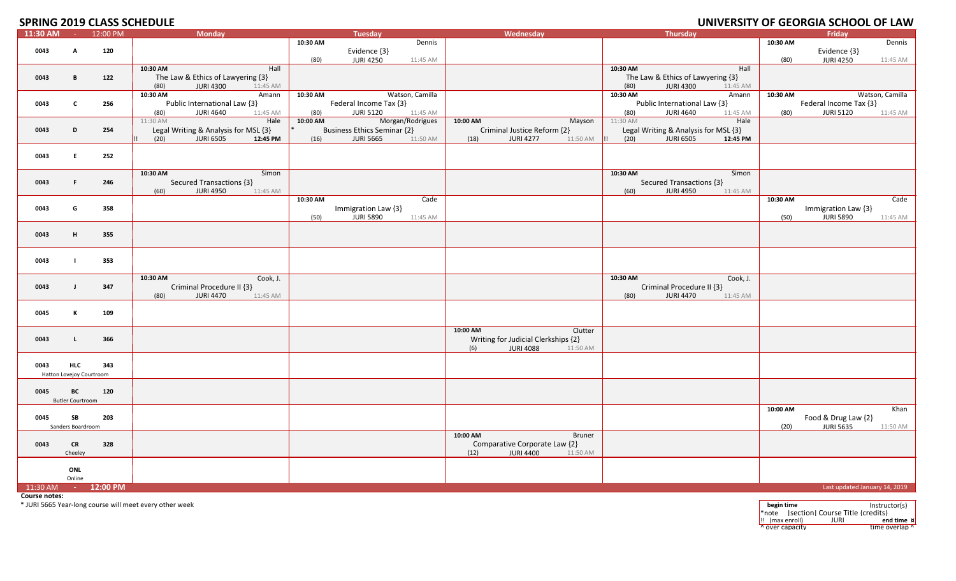## **SPRING 2019 CLASS SCHEDULE**

|                     |                          |                     | <u>SL INITS EATS CEASS SCILED SEE</u>       |          |                                    |                  |                                      |                                               |          | STREADH FOR SESINGIN SCHOOL OF EATH |
|---------------------|--------------------------|---------------------|---------------------------------------------|----------|------------------------------------|------------------|--------------------------------------|-----------------------------------------------|----------|-------------------------------------|
| 11:30 AM - 12:00 PM |                          |                     | <b>Monday</b>                               |          | <b>Tuesday</b>                     |                  | Wednesday                            | Thursday                                      |          | Friday                              |
|                     |                          |                     |                                             | 10:30 AM |                                    | Dennis           |                                      |                                               | 10:30 AM | Dennis                              |
| 0043                | A                        | 120                 |                                             |          | Evidence {3}                       |                  |                                      |                                               |          | Evidence {3}                        |
|                     |                          |                     |                                             |          |                                    |                  |                                      |                                               |          |                                     |
|                     |                          |                     |                                             | (80)     | <b>JURI 4250</b>                   | 11:45 AM         |                                      |                                               | (80)     | <b>JURI 4250</b><br>11:45 AM        |
|                     |                          |                     | 10:30 AM<br>Hall                            |          |                                    |                  |                                      | 10:30 AM<br>Hall                              |          |                                     |
| 0043                | B                        | 122                 | The Law & Ethics of Lawyering {3}           |          |                                    |                  |                                      | The Law & Ethics of Lawyering {3}             |          |                                     |
|                     |                          |                     | (80)<br><b>JURI 4300</b><br>11:45 AM        |          |                                    |                  |                                      | (80)<br><b>JURI 4300</b><br>11:45 AM          |          |                                     |
|                     |                          |                     |                                             |          |                                    |                  |                                      |                                               |          |                                     |
|                     |                          |                     | 10:30 AM<br>Amann                           | 10:30 AM |                                    | Watson, Camilla  |                                      | 10:30 AM<br>Amann                             | 10:30 AM | Watson, Camilla                     |
| 0043                | $\mathbf{c}$             | 256                 | Public International Law {3}                |          | Federal Income Tax {3}             |                  |                                      | Public International Law {3}                  |          | Federal Income Tax {3}              |
|                     |                          |                     | <b>JURI 4640</b><br>(80)<br>11:45 AM        | (80)     | <b>JURI 5120</b>                   | 11:45 AM         |                                      | <b>JURI 4640</b><br>(80)<br>11:45 AM          | (80)     | <b>JURI 5120</b><br>11:45 AM        |
|                     |                          |                     | 11:30 AM<br>Hale                            | 10:00 AM |                                    | Morgan/Rodrigues | 10:00 AM<br>Mayson                   | 11:30 AM<br>Hale                              |          |                                     |
|                     |                          |                     |                                             |          |                                    |                  |                                      |                                               |          |                                     |
| 0043                | D                        | 254                 | Legal Writing & Analysis for MSL {3}        |          | <b>Business Ethics Seminar {2}</b> |                  | Criminal Justice Reform {2}          | Legal Writing & Analysis for MSL {3}          |          |                                     |
|                     |                          |                     | <b>JURI 6505</b><br>12:45 PM<br>(20)<br>II. | (16)     | <b>JURI 5665</b>                   | 11:50 AM         | <b>JURI 4277</b><br>11:50 AM<br>(18) | (20)<br><b>JURI 6505</b><br>12:45 PM<br>- 1!! |          |                                     |
|                     |                          |                     |                                             |          |                                    |                  |                                      |                                               |          |                                     |
| 0043                | E.                       | 252                 |                                             |          |                                    |                  |                                      |                                               |          |                                     |
|                     |                          |                     |                                             |          |                                    |                  |                                      |                                               |          |                                     |
|                     |                          |                     |                                             |          |                                    |                  |                                      |                                               |          |                                     |
|                     |                          |                     | 10:30 AM<br>Simon                           |          |                                    |                  |                                      | 10:30 AM<br>Simon                             |          |                                     |
| 0043                | F.                       | 246                 | Secured Transactions {3}                    |          |                                    |                  |                                      | Secured Transactions {3}                      |          |                                     |
|                     |                          |                     | <b>JURI 4950</b><br>(60)<br>11:45 AM        |          |                                    |                  |                                      | <b>JURI 4950</b><br>(60)<br>11:45 AM          |          |                                     |
|                     |                          |                     |                                             |          |                                    |                  |                                      |                                               |          |                                     |
|                     |                          |                     |                                             | 10:30 AM |                                    | Cade             |                                      |                                               | 10:30 AM | Cade                                |
| 0043                | G                        | 358                 |                                             |          | Immigration Law {3}                |                  |                                      |                                               |          | Immigration Law {3}                 |
|                     |                          |                     |                                             | (50)     | <b>JURI 5890</b>                   | 11:45 AM         |                                      |                                               | (50)     | <b>JURI 5890</b><br>11:45 AM        |
|                     |                          |                     |                                             |          |                                    |                  |                                      |                                               |          |                                     |
|                     |                          |                     |                                             |          |                                    |                  |                                      |                                               |          |                                     |
| 0043                | н.                       | 355                 |                                             |          |                                    |                  |                                      |                                               |          |                                     |
|                     |                          |                     |                                             |          |                                    |                  |                                      |                                               |          |                                     |
|                     |                          |                     |                                             |          |                                    |                  |                                      |                                               |          |                                     |
| 0043                | $\mathbf{I}$             | 353                 |                                             |          |                                    |                  |                                      |                                               |          |                                     |
|                     |                          |                     |                                             |          |                                    |                  |                                      |                                               |          |                                     |
|                     |                          |                     |                                             |          |                                    |                  |                                      |                                               |          |                                     |
|                     |                          |                     | 10:30 AM<br>Cook, J.                        |          |                                    |                  |                                      | 10:30 AM<br>Cook, J.                          |          |                                     |
| 0043                | $\mathbf{J}$             | 347                 | Criminal Procedure II {3}                   |          |                                    |                  |                                      | Criminal Procedure II {3}                     |          |                                     |
|                     |                          |                     | <b>JURI 4470</b><br>(80)<br>11:45 AM        |          |                                    |                  |                                      | <b>JURI 4470</b><br>(80)<br>11:45 AM          |          |                                     |
|                     |                          |                     |                                             |          |                                    |                  |                                      |                                               |          |                                     |
|                     |                          |                     |                                             |          |                                    |                  |                                      |                                               |          |                                     |
| 0045                | К                        | 109                 |                                             |          |                                    |                  |                                      |                                               |          |                                     |
|                     |                          |                     |                                             |          |                                    |                  |                                      |                                               |          |                                     |
|                     |                          |                     |                                             |          |                                    |                  | 10:00 AM<br>Clutter                  |                                               |          |                                     |
|                     | L.                       | 366                 |                                             |          |                                    |                  |                                      |                                               |          |                                     |
| 0043                |                          |                     |                                             |          |                                    |                  | Writing for Judicial Clerkships {2}  |                                               |          |                                     |
|                     |                          |                     |                                             |          |                                    |                  | <b>JURI 4088</b><br>(6)<br>11:50 AM  |                                               |          |                                     |
|                     |                          |                     |                                             |          |                                    |                  |                                      |                                               |          |                                     |
| 0043                | <b>HLC</b>               | 343                 |                                             |          |                                    |                  |                                      |                                               |          |                                     |
|                     | Hatton Lovejoy Courtroom |                     |                                             |          |                                    |                  |                                      |                                               |          |                                     |
|                     |                          |                     |                                             |          |                                    |                  |                                      |                                               |          |                                     |
|                     |                          |                     |                                             |          |                                    |                  |                                      |                                               |          |                                     |
| 0045                | BC                       | 120                 |                                             |          |                                    |                  |                                      |                                               |          |                                     |
|                     | <b>Butler Courtroom</b>  |                     |                                             |          |                                    |                  |                                      |                                               |          |                                     |
|                     |                          |                     |                                             |          |                                    |                  |                                      |                                               | 10:00 AM | Khan                                |
|                     |                          |                     |                                             |          |                                    |                  |                                      |                                               |          |                                     |
| 0045                | SB                       | 203                 |                                             |          |                                    |                  |                                      |                                               |          | Food & Drug Law {2}                 |
|                     | Sanders Boardroom        |                     |                                             |          |                                    |                  |                                      |                                               | (20)     | <b>JURI 5635</b><br>11:50 AM        |
|                     |                          |                     |                                             |          |                                    |                  | 10:00 AM<br>Bruner                   |                                               |          |                                     |
| 0043                | <b>CR</b>                | 328                 |                                             |          |                                    |                  | Comparative Corporate Law {2}        |                                               |          |                                     |
|                     |                          |                     |                                             |          |                                    |                  |                                      |                                               |          |                                     |
|                     | Cheeley                  |                     |                                             |          |                                    |                  | (12)<br><b>JURI 4400</b><br>11:50 AM |                                               |          |                                     |
|                     |                          |                     |                                             |          |                                    |                  |                                      |                                               |          |                                     |
|                     | ONL                      |                     |                                             |          |                                    |                  |                                      |                                               |          |                                     |
|                     | Online                   |                     |                                             |          |                                    |                  |                                      |                                               |          |                                     |
|                     |                          |                     |                                             |          |                                    |                  |                                      |                                               |          |                                     |
| $11:30$ AM          |                          | $-12:00 \text{ PM}$ |                                             |          |                                    |                  |                                      |                                               |          | Last updated January 14, 2019       |

**Course notes:**

\* JURI 5665 Year‐long course will meet every other week **begin time** Instructor(s)

\*note [section] Course Title {credits} !! (max enroll) JURI **end time ¤** ^ over capacity time overlap ^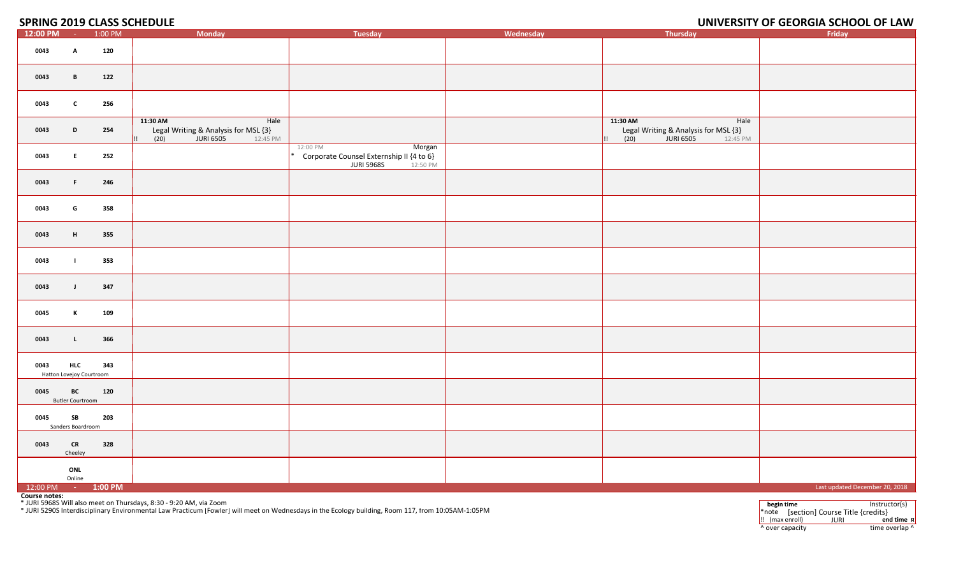#### **2019 CLASS SCHEDULE UNIVERSITY OF GEORGIA SCHOOL OF LAW**

| 12:00 PM             | <b>Common</b>                          | 1:00 PM | <b>Monday</b>                                                                                    | <b>Tuesday</b>                                                                                                                                     | Wednesday | <b>Thursday</b>                                                                                  | Friday                                                                            |
|----------------------|----------------------------------------|---------|--------------------------------------------------------------------------------------------------|----------------------------------------------------------------------------------------------------------------------------------------------------|-----------|--------------------------------------------------------------------------------------------------|-----------------------------------------------------------------------------------|
| 0043                 | A                                      | 120     |                                                                                                  |                                                                                                                                                    |           |                                                                                                  |                                                                                   |
| 0043                 | B                                      | 122     |                                                                                                  |                                                                                                                                                    |           |                                                                                                  |                                                                                   |
| 0043                 | $\mathbf{c}$                           | 256     |                                                                                                  |                                                                                                                                                    |           |                                                                                                  |                                                                                   |
| 0043                 | D                                      | 254     | 11:30 AM<br>Hale<br>Legal Writing & Analysis for MSL {3}<br>(20)<br><b>JURI 6505</b><br>12:45 PM |                                                                                                                                                    |           | 11:30 AM<br>Hale<br>Legal Writing & Analysis for MSL {3}<br><b>JURI 6505</b><br>(20)<br>12:45 PM |                                                                                   |
| 0043                 | E.                                     | 252     |                                                                                                  | 12:00 PM<br>Morgan<br>Corporate Counsel Externship II {4 to 6}<br><b>JURI 5968S</b><br>12:50 PM                                                    |           |                                                                                                  |                                                                                   |
| 0043                 | F.                                     | 246     |                                                                                                  |                                                                                                                                                    |           |                                                                                                  |                                                                                   |
| 0043                 | G                                      | 358     |                                                                                                  |                                                                                                                                                    |           |                                                                                                  |                                                                                   |
| 0043                 | H                                      | 355     |                                                                                                  |                                                                                                                                                    |           |                                                                                                  |                                                                                   |
| 0043                 | - 1                                    | 353     |                                                                                                  |                                                                                                                                                    |           |                                                                                                  |                                                                                   |
| 0043                 | $\mathsf{J}$                           | 347     |                                                                                                  |                                                                                                                                                    |           |                                                                                                  |                                                                                   |
| 0045                 | K                                      | 109     |                                                                                                  |                                                                                                                                                    |           |                                                                                                  |                                                                                   |
| 0043                 | $\mathbf{L}$                           | 366     |                                                                                                  |                                                                                                                                                    |           |                                                                                                  |                                                                                   |
| 0043                 | <b>HLC</b><br>Hatton Lovejoy Courtroom | 343     |                                                                                                  |                                                                                                                                                    |           |                                                                                                  |                                                                                   |
| 0045                 | BC<br><b>Butler Courtroom</b>          | 120     |                                                                                                  |                                                                                                                                                    |           |                                                                                                  |                                                                                   |
| 0045                 | SB<br>Sanders Boardroom                | 203     |                                                                                                  |                                                                                                                                                    |           |                                                                                                  |                                                                                   |
| 0043                 | <b>CR</b><br>Cheeley                   | 328     |                                                                                                  |                                                                                                                                                    |           |                                                                                                  |                                                                                   |
|                      | ONL<br>Online                          |         |                                                                                                  |                                                                                                                                                    |           |                                                                                                  |                                                                                   |
| 12:00 PM - 1:00 PM   |                                        |         |                                                                                                  |                                                                                                                                                    |           |                                                                                                  | Last updated December 20, 2018                                                    |
| <b>Course notes:</b> |                                        |         | * JURI 5968S Will also meet on Thursdays, 8:30 - 9:20 AM, via Zoom                               | * JURI 5290S Interdisciplinary Environmental Law Practicum [Fowler] will meet on Wednesdays in the Ecology building, Room 117, from 10:05AM-1:05PM |           |                                                                                                  | begin time<br>Instructor(s)<br>$*$ note $[section]$ Course Title ${c}$ redits $}$ |

\*note [section] Course Title {credits}<br> $\vdots$  (max enroll) JURI end **11.** (max enroll) **JURI end time x**<br> **12.** (a) **end time** overlap **1** ^ over capacity  $\bullet$  time overlap ^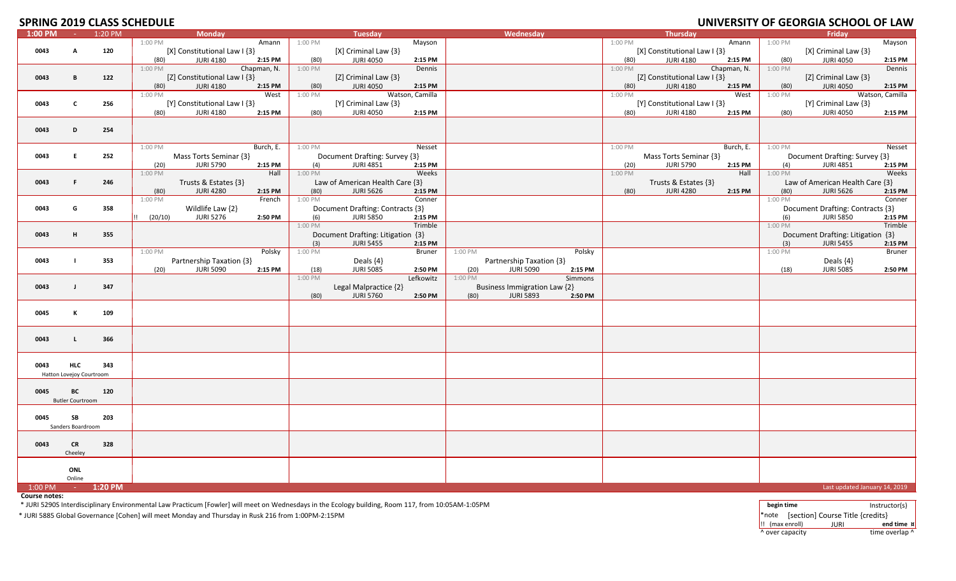## **SPRING 2019 CLASS SCHEDULE**

| JI INITO ZUIJ CLAJJ JCHEDULL |                          |         |         |                              |             |         |                                   |                 |         |                              |         |         |                              |             |                      | <u>UNIVERSITI UI GEURUM SCHUUL UI EAN</u> |                 |
|------------------------------|--------------------------|---------|---------|------------------------------|-------------|---------|-----------------------------------|-----------------|---------|------------------------------|---------|---------|------------------------------|-------------|----------------------|-------------------------------------------|-----------------|
| 1:00 PM                      | $\sim 10^{-1}$           | 1:20 PM |         | <b>Monday</b>                |             |         | <b>Tuesday</b>                    |                 |         | Wednesday                    |         |         | Thursday                     |             |                      | Friday                                    |                 |
|                              |                          |         | 1:00 PM |                              | Amann       | 1:00 PM |                                   | Mayson          |         |                              |         | 1:00 PM |                              | Amann       | 1:00 PM              |                                           | Mayson          |
| 0043                         | A                        | 120     |         | [X] Constitutional Law I {3} |             |         | [X] Criminal Law {3}              |                 |         |                              |         |         | [X] Constitutional Law I {3} |             |                      | [X] Criminal Law {3}                      |                 |
|                              |                          |         |         |                              |             |         |                                   |                 |         |                              |         |         |                              |             |                      |                                           |                 |
|                              |                          |         | (80)    | <b>JURI 4180</b>             | 2:15 PM     | (80)    | <b>JURI 4050</b>                  | 2:15 PM         |         |                              |         | (80)    | <b>JURI 4180</b>             | 2:15 PM     | (80)                 | <b>JURI 4050</b>                          | 2:15 PM         |
|                              |                          |         | 1:00 PM |                              | Chapman, N. | 1:00 PM |                                   | Dennis          |         |                              |         | 1:00 PM |                              | Chapman, N. | 1:00 PM              |                                           | Dennis          |
| 0043                         | В                        | 122     |         | [Z] Constitutional Law I {3} |             |         | [Z] Criminal Law {3}              |                 |         |                              |         |         | [Z] Constitutional Law I {3} |             |                      | [Z] Criminal Law {3}                      |                 |
|                              |                          |         |         |                              |             |         |                                   |                 |         |                              |         |         |                              |             |                      |                                           |                 |
|                              |                          |         | (80)    | <b>JURI 4180</b>             | 2:15 PM     | (80)    | <b>JURI 4050</b>                  | 2:15 PM         |         |                              |         | (80)    | <b>JURI 4180</b>             | 2:15 PM     | (80)                 | <b>JURI 4050</b>                          | 2:15 PM         |
|                              |                          |         | 1:00 PM |                              | West        | 1:00 PM |                                   | Watson, Camilla |         |                              |         | 1:00 PM |                              | West        | 1:00 PM              |                                           | Watson, Camilla |
| 0043                         | $\mathbf c$              | 256     |         | [Y] Constitutional Law I {3} |             |         | [Y] Criminal Law {3}              |                 |         |                              |         |         | [Y] Constitutional Law I {3} |             |                      | [Y] Criminal Law {3}                      |                 |
|                              |                          |         | (80)    | <b>JURI 4180</b>             | 2:15 PM     | (80)    | <b>JURI 4050</b>                  | 2:15 PM         |         |                              |         | (80)    | <b>JURI 4180</b>             | 2:15 PM     | (80)                 | <b>JURI 4050</b>                          | 2:15 PM         |
|                              |                          |         |         |                              |             |         |                                   |                 |         |                              |         |         |                              |             |                      |                                           |                 |
|                              |                          |         |         |                              |             |         |                                   |                 |         |                              |         |         |                              |             |                      |                                           |                 |
| 0043                         | D                        | 254     |         |                              |             |         |                                   |                 |         |                              |         |         |                              |             |                      |                                           |                 |
|                              |                          |         |         |                              |             |         |                                   |                 |         |                              |         |         |                              |             |                      |                                           |                 |
|                              |                          |         | 1:00 PM |                              | Burch, E.   | 1:00 PM |                                   | Nesset          |         |                              |         | 1:00 PM |                              | Burch, E.   | 1:00 PM              |                                           | Nesset          |
|                              |                          |         |         |                              |             |         |                                   |                 |         |                              |         |         |                              |             |                      |                                           |                 |
| 0043                         | E                        | 252     |         | Mass Torts Seminar {3}       |             |         | Document Drafting: Survey {3}     |                 |         |                              |         |         | Mass Torts Seminar {3}       |             |                      | Document Drafting: Survey {3}             |                 |
|                              |                          |         | (20)    | <b>JURI 5790</b>             | 2:15 PM     | (4)     | <b>JURI 4851</b>                  | 2:15 PM         |         |                              |         | (20)    | <b>JURI 5790</b>             | 2:15 PM     | (4)                  | <b>JURI 4851</b>                          | 2:15 PM         |
|                              |                          |         | 1:00 PM |                              | Hall        | 1:00 PM |                                   | Weeks           |         |                              |         | 1:00 PM |                              | Hall        | 1:00 PM              |                                           | Weeks           |
|                              | F.                       |         |         |                              |             |         |                                   |                 |         |                              |         |         |                              |             |                      |                                           |                 |
| 0043                         |                          | 246     |         | Trusts & Estates {3}         |             |         | Law of American Health Care {3}   |                 |         |                              |         |         | Trusts & Estates {3}         |             |                      | Law of American Health Care {3}           |                 |
|                              |                          |         | (80)    | <b>JURI 4280</b>             | 2:15 PM     | (80)    | <b>JURI 5626</b>                  | 2:15 PM         |         |                              |         | (80)    | <b>JURI 4280</b>             | 2:15 PM     | (80)                 | <b>JURI 5626</b>                          | 2:15 PM         |
|                              |                          |         | 1:00 PM |                              | French      | 1:00 PM |                                   | Conner          |         |                              |         |         |                              |             | 1:00 PM              |                                           | Conner          |
| 0043                         | G                        | 358     |         | Wildlife Law {2}             |             |         | Document Drafting: Contracts {3}  |                 |         |                              |         |         |                              |             |                      | Document Drafting: Contracts {3}          |                 |
|                              |                          |         |         |                              |             |         |                                   |                 |         |                              |         |         |                              |             |                      |                                           |                 |
|                              |                          |         | (20/10) | <b>JURI 5276</b>             | 2:50 PM     | (6)     | <b>JURI 5850</b>                  | 2:15 PM         |         |                              |         |         |                              |             | (6)                  | <b>JURI 5850</b>                          | 2:15 PM         |
|                              |                          |         |         |                              |             | 1:00 PM |                                   | Trimble         |         |                              |         |         |                              |             | 1:00 PM              |                                           | Trimble         |
| 0043                         | н                        | 355     |         |                              |             |         | Document Drafting: Litigation {3} |                 |         |                              |         |         |                              |             |                      | Document Drafting: Litigation {3}         |                 |
|                              |                          |         |         |                              |             |         | <b>JURI 5455</b>                  |                 |         |                              |         |         |                              |             |                      |                                           |                 |
|                              |                          |         |         |                              |             | (3)     |                                   | 2:15 PM         |         |                              |         |         |                              |             | (3)                  | <b>JURI 5455</b>                          | 2:15 PM         |
|                              |                          |         | 1:00 PM |                              | Polsky      | 1:00 PM |                                   | <b>Bruner</b>   | 1:00 PM |                              | Polsky  |         |                              |             | $1:00 P\overline{M}$ |                                           | Bruner          |
| 0043                         | $\mathbf{I}$             | 353     |         | Partnership Taxation {3}     |             |         | Deals $\{4\}$                     |                 |         | Partnership Taxation {3}     |         |         |                              |             |                      | Deals {4}                                 |                 |
|                              |                          |         | (20)    | <b>JURI 5090</b>             | 2:15 PM     | (18)    | <b>JURI 5085</b>                  | 2:50 PM         | (20)    | <b>JURI 5090</b>             | 2:15 PM |         |                              |             | (18)                 | <b>JURI 5085</b>                          | 2:50 PM         |
|                              |                          |         |         |                              |             | 1:00 PM |                                   | Lefkowitz       | 1:00 PM |                              | Simmons |         |                              |             |                      |                                           |                 |
|                              |                          |         |         |                              |             |         |                                   |                 |         |                              |         |         |                              |             |                      |                                           |                 |
| 0043                         | $\blacksquare$           | 347     |         |                              |             |         | Legal Malpractice {2}             |                 |         | Business Immigration Law {2} |         |         |                              |             |                      |                                           |                 |
|                              |                          |         |         |                              |             | (80)    | <b>JURI 5760</b>                  | 2:50 PM         | (80)    | <b>JURI 5893</b>             | 2:50 PM |         |                              |             |                      |                                           |                 |
|                              |                          |         |         |                              |             |         |                                   |                 |         |                              |         |         |                              |             |                      |                                           |                 |
|                              |                          |         |         |                              |             |         |                                   |                 |         |                              |         |         |                              |             |                      |                                           |                 |
| 0045                         | К                        | 109     |         |                              |             |         |                                   |                 |         |                              |         |         |                              |             |                      |                                           |                 |
|                              |                          |         |         |                              |             |         |                                   |                 |         |                              |         |         |                              |             |                      |                                           |                 |
|                              |                          |         |         |                              |             |         |                                   |                 |         |                              |         |         |                              |             |                      |                                           |                 |
| 0043                         | L.                       | 366     |         |                              |             |         |                                   |                 |         |                              |         |         |                              |             |                      |                                           |                 |
|                              |                          |         |         |                              |             |         |                                   |                 |         |                              |         |         |                              |             |                      |                                           |                 |
|                              |                          |         |         |                              |             |         |                                   |                 |         |                              |         |         |                              |             |                      |                                           |                 |
|                              |                          |         |         |                              |             |         |                                   |                 |         |                              |         |         |                              |             |                      |                                           |                 |
| 0043                         | <b>HLC</b>               | 343     |         |                              |             |         |                                   |                 |         |                              |         |         |                              |             |                      |                                           |                 |
|                              | Hatton Lovejoy Courtroom |         |         |                              |             |         |                                   |                 |         |                              |         |         |                              |             |                      |                                           |                 |
|                              |                          |         |         |                              |             |         |                                   |                 |         |                              |         |         |                              |             |                      |                                           |                 |
|                              |                          |         |         |                              |             |         |                                   |                 |         |                              |         |         |                              |             |                      |                                           |                 |
| 0045                         | <b>BC</b>                | 120     |         |                              |             |         |                                   |                 |         |                              |         |         |                              |             |                      |                                           |                 |
|                              | <b>Butler Courtroom</b>  |         |         |                              |             |         |                                   |                 |         |                              |         |         |                              |             |                      |                                           |                 |
|                              |                          |         |         |                              |             |         |                                   |                 |         |                              |         |         |                              |             |                      |                                           |                 |
|                              |                          |         |         |                              |             |         |                                   |                 |         |                              |         |         |                              |             |                      |                                           |                 |
| 0045                         | SB                       | 203     |         |                              |             |         |                                   |                 |         |                              |         |         |                              |             |                      |                                           |                 |
|                              | Sanders Boardroom        |         |         |                              |             |         |                                   |                 |         |                              |         |         |                              |             |                      |                                           |                 |
|                              |                          |         |         |                              |             |         |                                   |                 |         |                              |         |         |                              |             |                      |                                           |                 |
|                              |                          |         |         |                              |             |         |                                   |                 |         |                              |         |         |                              |             |                      |                                           |                 |
| 0043                         | <b>CR</b>                | 328     |         |                              |             |         |                                   |                 |         |                              |         |         |                              |             |                      |                                           |                 |
|                              | Cheeley                  |         |         |                              |             |         |                                   |                 |         |                              |         |         |                              |             |                      |                                           |                 |
|                              |                          |         |         |                              |             |         |                                   |                 |         |                              |         |         |                              |             |                      |                                           |                 |
|                              | ONL                      |         |         |                              |             |         |                                   |                 |         |                              |         |         |                              |             |                      |                                           |                 |
|                              |                          |         |         |                              |             |         |                                   |                 |         |                              |         |         |                              |             |                      |                                           |                 |
|                              | Online                   |         |         |                              |             |         |                                   |                 |         |                              |         |         |                              |             |                      |                                           |                 |
| 1:00 PM                      | $\sim 100$               | 1:20 PM |         |                              |             |         |                                   |                 |         |                              |         |         |                              |             |                      | Last updated January 14, 2019             |                 |

**Course notes:**

\* JURI 5290S Interdisciplinary Environmental Law Practicum [Fowler] will meet on Wednesdays in the Ecology building, Room 117, from 10:05AM‐1:05PM **begin time** Instructor(s)

\* JURI 5885 Global Governance [Cohen] will meet Monday and Thursday in Rusk 216 from 1:00PM‐2:15PM \*note [section] Course Title {credits}

| begin time                |                                                      | Instructor(s)  |
|---------------------------|------------------------------------------------------|----------------|
|                           | $\mathsf{I}^*$ note [section] Course Title {credits} |                |
| $\vert\vert$ (max enroll) | JURI                                                 | end time x     |
| ^ over capacity           |                                                      | time overlap ^ |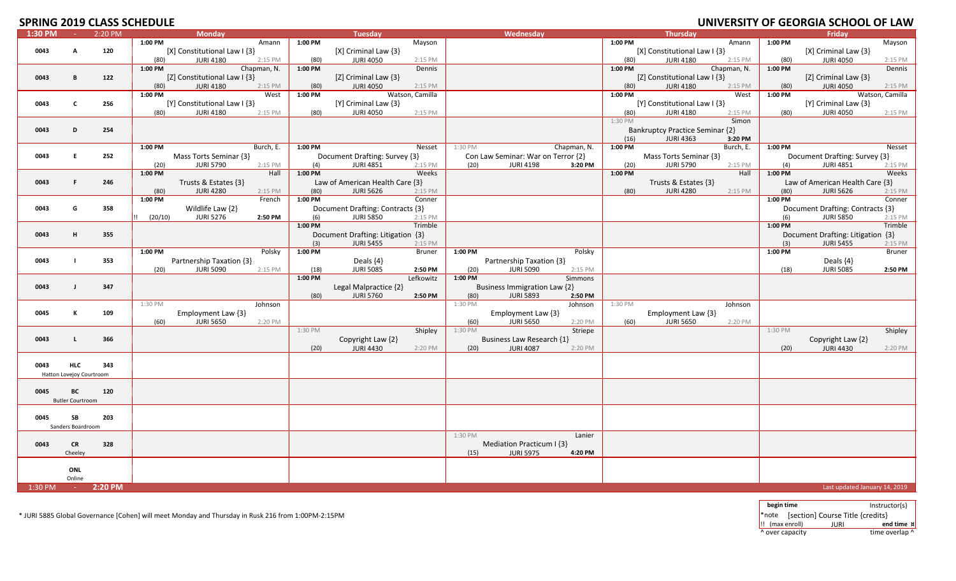# **SPRING 2019 CLASS SCHEDLILE**

|         |                          |         | ULAJJ JUHLUULL |                              |             |         |                                   |                 |         |                                    |             |         |                                 |             |         | <u>UNIVERSITI UI ULURUM SCHUUL UI LAM</u> |                 |
|---------|--------------------------|---------|----------------|------------------------------|-------------|---------|-----------------------------------|-----------------|---------|------------------------------------|-------------|---------|---------------------------------|-------------|---------|-------------------------------------------|-----------------|
| 1:30 PM | $\sim$                   | 2:20 PM |                | <b>Monday</b>                |             |         | <b>Tuesday</b>                    |                 |         | Wednesday                          |             |         | <b>Thursday</b>                 |             |         | <b>Friday</b>                             |                 |
|         |                          |         | 1:00 PM        |                              | Amann       | 1:00 PM |                                   | Mayson          |         |                                    |             | 1:00 PM |                                 | Amann       | 1:00 PM |                                           | Mayson          |
|         |                          |         |                |                              |             |         |                                   |                 |         |                                    |             |         |                                 |             |         |                                           |                 |
| 0043    | A                        | 120     |                | [X] Constitutional Law I {3} |             |         | [X] Criminal Law {3}              |                 |         |                                    |             |         | [X] Constitutional Law I {3}    |             |         | [X] Criminal Law {3}                      |                 |
|         |                          |         | (80)           | <b>JURI 4180</b>             | 2:15 PM     | (80)    | <b>JURI 4050</b>                  | 2:15 PM         |         |                                    |             | (80)    | <b>JURI 4180</b>                | 2:15 PM     | (80)    | <b>JURI 4050</b>                          | 2:15 PM         |
|         |                          |         | 1:00 PM        |                              | Chapman, N. | 1:00 PM |                                   | Dennis          |         |                                    |             | 1:00 PM |                                 | Chapman, N. | 1:00 PM |                                           | Dennis          |
| 0043    | B                        | 122     |                | [Z] Constitutional Law I {3} |             |         | [Z] Criminal Law {3}              |                 |         |                                    |             |         | [Z] Constitutional Law I {3}    |             |         | [Z] Criminal Law {3}                      |                 |
|         |                          |         |                |                              |             |         |                                   |                 |         |                                    |             |         |                                 |             |         |                                           |                 |
|         |                          |         | (80)           | <b>JURI 4180</b>             | 2:15 PM     | (80)    | <b>JURI 4050</b>                  | 2:15 PM         |         |                                    |             | (80)    | <b>JURI 4180</b>                | 2:15 PM     | (80)    | <b>JURI 4050</b>                          | 2:15 PM         |
|         |                          |         | 1:00 PM        |                              | West        | 1:00 PM |                                   | Watson, Camilla |         |                                    |             | 1:00 PM |                                 | West        | 1:00 PM |                                           | Watson, Camilla |
| 0043    | <b>C</b>                 | 256     |                | [Y] Constitutional Law I {3} |             |         | [Y] Criminal Law {3}              |                 |         |                                    |             |         | [Y] Constitutional Law I {3}    |             |         | [Y] Criminal Law {3}                      |                 |
|         |                          |         | (80)           | <b>JURI 4180</b>             | 2:15 PM     | (80)    | <b>JURI 4050</b>                  | 2:15 PM         |         |                                    |             | (80)    | <b>JURI 4180</b>                | 2:15 PM     | (80)    | <b>JURI 4050</b>                          | 2:15 PM         |
|         |                          |         |                |                              |             |         |                                   |                 |         |                                    |             |         |                                 |             |         |                                           |                 |
|         |                          |         |                |                              |             |         |                                   |                 |         |                                    |             | 1:30 PM |                                 | Simon       |         |                                           |                 |
| 0043    | D                        | 254     |                |                              |             |         |                                   |                 |         |                                    |             |         | Bankruptcy Practice Seminar {2} |             |         |                                           |                 |
|         |                          |         |                |                              |             |         |                                   |                 |         |                                    |             | (16)    | <b>JURI 4363</b>                | 3:20 PM     |         |                                           |                 |
|         |                          |         | 1:00 PM        |                              | Burch, E.   | 1:00 PM |                                   |                 | 1:30 PM |                                    | Chapman, N. | 1:00 PM |                                 | Burch, E.   | 1:00 PM |                                           | Nesset          |
|         |                          |         |                |                              |             |         |                                   | Nesset          |         |                                    |             |         |                                 |             |         |                                           |                 |
| 0043    | E.                       | 252     |                | Mass Torts Seminar {3}       |             |         | Document Drafting: Survey {3}     |                 |         | Con Law Seminar: War on Terror {2} |             |         | Mass Torts Seminar {3}          |             |         | Document Drafting: Survey {3}             |                 |
|         |                          |         | (20)           | <b>JURI 5790</b>             | 2:15 PM     | (4)     | <b>JURI 4851</b>                  | 2:15 PM         | (20)    | <b>JURI 4198</b>                   | 3:20 PM     | (20)    | <b>JURI 5790</b>                | 2:15 PM     | (4)     | <b>JURI 4851</b>                          | 2:15 PM         |
|         |                          |         | 1:00 PM        |                              | Hall        | 1:00 PM |                                   | Weeks           |         |                                    |             | 1:00 PM |                                 | Hall        | 1:00 PM |                                           | Weeks           |
|         |                          |         |                |                              |             |         |                                   |                 |         |                                    |             |         |                                 |             |         |                                           |                 |
| 0043    | F                        | 246     |                | Trusts & Estates {3}         |             |         | Law of American Health Care {3}   |                 |         |                                    |             |         | Trusts & Estates {3}            |             |         | Law of American Health Care {3}           |                 |
|         |                          |         | (80)           | <b>JURI 4280</b>             | 2:15 PM     | (80)    | <b>JURI 5626</b>                  | 2:15 PM         |         |                                    |             | (80)    | <b>JURI 4280</b>                | 2:15 PM     | (80)    | <b>JURI 5626</b>                          | 2:15 PM         |
|         |                          |         | 1:00 PM        |                              | French      | 1:00 PM |                                   | Conner          |         |                                    |             |         |                                 |             | 1:00 PM |                                           | Conner          |
|         |                          |         |                |                              |             |         |                                   |                 |         |                                    |             |         |                                 |             |         |                                           |                 |
| 0043    | G                        | 358     |                | Wildlife Law {2}             |             |         | Document Drafting: Contracts {3}  |                 |         |                                    |             |         |                                 |             |         | Document Drafting: Contracts {3}          |                 |
|         |                          |         | (20/10)        | <b>JURI 5276</b>             | 2:50 PM     | (6)     | <b>JURI 5850</b>                  | 2:15 PM         |         |                                    |             |         |                                 |             | (6)     | <b>JURI 5850</b>                          | 2:15 PM         |
|         |                          |         |                |                              |             | 1:00 PM |                                   | Trimble         |         |                                    |             |         |                                 |             | 1:00 PM |                                           | Trimble         |
| 0043    | H                        | 355     |                |                              |             |         | Document Drafting: Litigation {3} |                 |         |                                    |             |         |                                 |             |         | Document Drafting: Litigation {3}         |                 |
|         |                          |         |                |                              |             |         |                                   |                 |         |                                    |             |         |                                 |             |         |                                           |                 |
|         |                          |         |                |                              |             | (3)     | <b>JURI 5455</b>                  | 2:15 PM         |         |                                    |             |         |                                 |             | (3)     | <b>JURI 5455</b>                          | 2:15 PM         |
|         |                          |         | 1:00 PM        |                              | Polsky      | 1:00 PM |                                   | <b>Bruner</b>   | 1:00 PM |                                    | Polsky      |         |                                 |             | 1:00 PM |                                           | Bruner          |
| 0043    |                          | 353     |                | Partnership Taxation {3}     |             |         | Deals $\{4\}$                     |                 |         | Partnership Taxation {3}           |             |         |                                 |             |         | Deals $\{4\}$                             |                 |
|         |                          |         |                |                              |             |         |                                   |                 |         |                                    |             |         |                                 |             |         |                                           |                 |
|         |                          |         | (20)           | <b>JURI 5090</b>             | 2:15 PM     | (18)    | <b>JURI 5085</b>                  | 2:50 PM         | (20)    | <b>JURI 5090</b>                   | 2:15 PM     |         |                                 |             | (18)    | <b>JURI 5085</b>                          | 2:50 PM         |
|         |                          |         |                |                              |             | 1:00 PM |                                   | Lefkowitz       | 1:00 PM |                                    | Simmons     |         |                                 |             |         |                                           |                 |
| 0043    | $\mathbf{J}$             | 347     |                |                              |             |         | Legal Malpractice {2}             |                 |         | Business Immigration Law {2}       |             |         |                                 |             |         |                                           |                 |
|         |                          |         |                |                              |             | (80)    | <b>JURI 5760</b>                  | 2:50 PM         | (80)    | <b>JURI 5893</b>                   | 2:50 PM     |         |                                 |             |         |                                           |                 |
|         |                          |         |                |                              |             |         |                                   |                 |         |                                    |             |         |                                 |             |         |                                           |                 |
|         |                          |         | 1:30 PM        |                              | Johnson     |         |                                   |                 | 1:30 PM |                                    | Johnson     | 1:30 PM |                                 | Johnson     |         |                                           |                 |
| 0045    | К                        | 109     |                | Employment Law {3}           |             |         |                                   |                 |         | Employment Law {3}                 |             |         | Employment Law {3}              |             |         |                                           |                 |
|         |                          |         | (60)           | <b>JURI 5650</b>             | 2:20 PM     |         |                                   |                 | (60)    | <b>JURI 5650</b>                   | 2:20 PM     | (60)    | <b>JURI 5650</b>                | 2:20 PM     |         |                                           |                 |
|         |                          |         |                |                              |             |         |                                   |                 |         |                                    |             |         |                                 |             |         |                                           |                 |
|         |                          |         |                |                              |             | 1:30 PM |                                   | Shipley         | 1:30 PM |                                    | Striepe     |         |                                 |             | 1:30 PM |                                           | Shipley         |
| 0043    | L                        | 366     |                |                              |             |         | Copyright Law {2}                 |                 |         | Business Law Research {1}          |             |         |                                 |             |         | Copyright Law {2}                         |                 |
|         |                          |         |                |                              |             | (20)    | <b>JURI 4430</b>                  | 2:20 PM         | (20)    | <b>JURI 4087</b>                   | 2:20 PM     |         |                                 |             | (20)    | <b>JURI 4430</b>                          | 2:20 PM         |
|         |                          |         |                |                              |             |         |                                   |                 |         |                                    |             |         |                                 |             |         |                                           |                 |
|         |                          |         |                |                              |             |         |                                   |                 |         |                                    |             |         |                                 |             |         |                                           |                 |
| 0043    | <b>HLC</b>               | 343     |                |                              |             |         |                                   |                 |         |                                    |             |         |                                 |             |         |                                           |                 |
|         | Hatton Lovejoy Courtroom |         |                |                              |             |         |                                   |                 |         |                                    |             |         |                                 |             |         |                                           |                 |
|         |                          |         |                |                              |             |         |                                   |                 |         |                                    |             |         |                                 |             |         |                                           |                 |
|         | BC                       |         |                |                              |             |         |                                   |                 |         |                                    |             |         |                                 |             |         |                                           |                 |
| 0045    |                          | 120     |                |                              |             |         |                                   |                 |         |                                    |             |         |                                 |             |         |                                           |                 |
|         | <b>Butler Courtroom</b>  |         |                |                              |             |         |                                   |                 |         |                                    |             |         |                                 |             |         |                                           |                 |
|         |                          |         |                |                              |             |         |                                   |                 |         |                                    |             |         |                                 |             |         |                                           |                 |
| 0045    | SB                       | 203     |                |                              |             |         |                                   |                 |         |                                    |             |         |                                 |             |         |                                           |                 |
|         |                          |         |                |                              |             |         |                                   |                 |         |                                    |             |         |                                 |             |         |                                           |                 |
|         | Sanders Boardroom        |         |                |                              |             |         |                                   |                 |         |                                    |             |         |                                 |             |         |                                           |                 |
|         |                          |         |                |                              |             |         |                                   |                 | 1:30 PM |                                    | Lanier      |         |                                 |             |         |                                           |                 |
| 0043    | <b>CR</b>                | 328     |                |                              |             |         |                                   |                 |         | Mediation Practicum I {3}          |             |         |                                 |             |         |                                           |                 |
|         |                          |         |                |                              |             |         |                                   |                 |         |                                    |             |         |                                 |             |         |                                           |                 |
|         | Cheeley                  |         |                |                              |             |         |                                   |                 | (15)    | <b>JURI 5975</b>                   | 4:20 PM     |         |                                 |             |         |                                           |                 |
|         |                          |         |                |                              |             |         |                                   |                 |         |                                    |             |         |                                 |             |         |                                           |                 |
|         | <b>ONL</b>               |         |                |                              |             |         |                                   |                 |         |                                    |             |         |                                 |             |         |                                           |                 |
|         | Online                   |         |                |                              |             |         |                                   |                 |         |                                    |             |         |                                 |             |         |                                           |                 |
|         |                          |         |                |                              |             |         |                                   |                 |         |                                    |             |         |                                 |             |         |                                           |                 |
| 1:30 PM | $\sim 10^{-1}$           | 2:20 PM |                |                              |             |         |                                   |                 |         |                                    |             |         |                                 |             |         | Last updated January 14, 2019             |                 |

\* JURI 5885 Global Governance [Cohen] will meet Monday and Thursday in Rusk 216 from 1:00PM‐2:15PM \*note [section] Course Title {credits}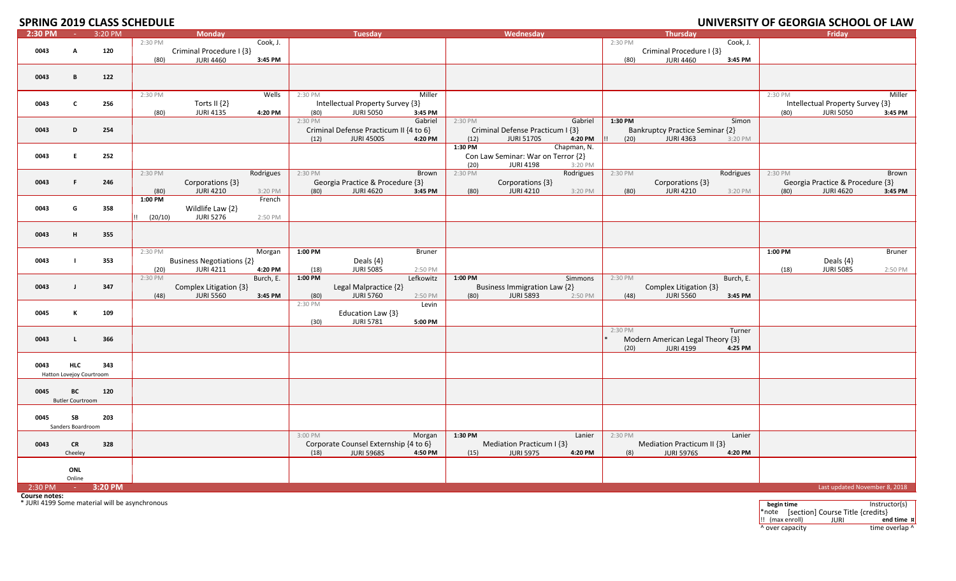# **2019 CLASS SCHEDULE UNIVERSITY OF GEORGIA SCHOOL OF LAW**

| 2:30 PM | ne.                      | 3:20 PM |         | <b>Monday</b>                    |           |         | <b>Tuesday</b>                         |               |         | Wednesday                          |             |         | <b>Thursday</b>                        |           |         | Friday                           |         |
|---------|--------------------------|---------|---------|----------------------------------|-----------|---------|----------------------------------------|---------------|---------|------------------------------------|-------------|---------|----------------------------------------|-----------|---------|----------------------------------|---------|
|         |                          |         | 2:30 PM |                                  | Cook, J.  |         |                                        |               |         |                                    |             | 2:30 PM |                                        | Cook, J.  |         |                                  |         |
| 0043    | A                        | 120     |         | Criminal Procedure I {3}         |           |         |                                        |               |         |                                    |             |         | Criminal Procedure I {3}               |           |         |                                  |         |
|         |                          |         | (80)    | <b>JURI 4460</b>                 | 3:45 PM   |         |                                        |               |         |                                    |             | (80)    | <b>JURI 4460</b>                       | 3:45 PM   |         |                                  |         |
|         |                          |         |         |                                  |           |         |                                        |               |         |                                    |             |         |                                        |           |         |                                  |         |
| 0043    | В                        | 122     |         |                                  |           |         |                                        |               |         |                                    |             |         |                                        |           |         |                                  |         |
|         |                          |         |         |                                  |           |         |                                        |               |         |                                    |             |         |                                        |           |         |                                  |         |
|         |                          |         | 2:30 PM |                                  | Wells     | 2:30 PM |                                        | Miller        |         |                                    |             |         |                                        |           | 2:30 PM |                                  | Miller  |
| 0043    | $\mathbf{C}$             | 256     |         | Torts II {2}                     |           |         | Intellectual Property Survey {3}       |               |         |                                    |             |         |                                        |           |         | Intellectual Property Survey {3} |         |
|         |                          |         | (80)    | <b>JURI 4135</b>                 | 4:20 PM   | (80)    | <b>JURI 5050</b>                       | 3:45 PM       |         |                                    |             |         |                                        |           | (80)    | <b>JURI 5050</b>                 | 3:45 PM |
|         |                          |         |         |                                  |           | 2:30 PM |                                        | Gabriel       | 2:30 PM |                                    | Gabriel     | 1:30 PM |                                        | Simon     |         |                                  |         |
| 0043    | D                        | 254     |         |                                  |           |         | Criminal Defense Practicum II {4 to 6} |               |         | Criminal Defense Practicum I {3}   |             |         | <b>Bankruptcy Practice Seminar {2}</b> |           |         |                                  |         |
|         |                          |         |         |                                  |           | (12)    | <b>JURI 4500S</b>                      | 4:20 PM       | (12)    | <b>JURI 5170S</b>                  | 4:20 PM     | (20)    | <b>JURI 4363</b>                       | 3:20 PM   |         |                                  |         |
|         |                          |         |         |                                  |           |         |                                        |               | 1:30 PM |                                    | Chapman, N. |         |                                        |           |         |                                  |         |
| 0043    | E.                       | 252     |         |                                  |           |         |                                        |               |         | Con Law Seminar: War on Terror {2} |             |         |                                        |           |         |                                  |         |
|         |                          |         |         |                                  |           |         |                                        |               | (20)    | <b>JURI 4198</b>                   | 3:20 PM     |         |                                        |           |         |                                  |         |
|         |                          |         | 2:30 PM |                                  | Rodrigues | 2:30 PM |                                        | Brown         | 2:30 PM |                                    | Rodrigues   | 2:30 PM |                                        | Rodrigues | 2:30 PM |                                  | Brown   |
| 0043    | F.                       | 246     |         | Corporations {3}                 |           |         | Georgia Practice & Procedure {3}       |               |         | Corporations {3}                   |             |         | Corporations {3}                       |           |         | Georgia Practice & Procedure {3} |         |
|         |                          |         | (80)    | <b>JURI 4210</b>                 | 3:20 PM   | (80)    | <b>JURI 4620</b>                       | 3:45 PM       | (80)    | <b>JURI 4210</b>                   | 3:20 PM     | (80)    | <b>JURI 4210</b>                       | 3:20 PM   | (80)    | <b>JURI 4620</b>                 | 3:45 PM |
|         |                          |         | 1:00 PM |                                  | French    |         |                                        |               |         |                                    |             |         |                                        |           |         |                                  |         |
| 0043    | G                        | 358     |         | Wildlife Law {2}                 |           |         |                                        |               |         |                                    |             |         |                                        |           |         |                                  |         |
|         |                          |         | (20/10) | <b>JURI 5276</b>                 | 2:50 PM   |         |                                        |               |         |                                    |             |         |                                        |           |         |                                  |         |
|         |                          |         |         |                                  |           |         |                                        |               |         |                                    |             |         |                                        |           |         |                                  |         |
| 0043    | H                        | 355     |         |                                  |           |         |                                        |               |         |                                    |             |         |                                        |           |         |                                  |         |
|         |                          |         |         |                                  |           |         |                                        |               |         |                                    |             |         |                                        |           |         |                                  |         |
|         |                          |         | 2:30 PM |                                  | Morgan    | 1:00 PM |                                        | <b>Bruner</b> |         |                                    |             |         |                                        |           | 1:00 PM |                                  | Bruner  |
| 0043    |                          | 353     |         | <b>Business Negotiations {2}</b> |           |         | Deals {4}                              |               |         |                                    |             |         |                                        |           |         | Deals {4}                        |         |
|         |                          |         | (20)    | <b>JURI 4211</b>                 | 4:20 PM   | (18)    | <b>JURI 5085</b>                       | 2:50 PM       |         |                                    |             |         |                                        |           | (18)    | <b>JURI 5085</b>                 | 2:50 PM |
|         |                          |         | 2:30 PM |                                  | Burch, E. | 1:00 PM |                                        | Lefkowitz     | 1:00 PM |                                    | Simmons     | 2:30 PM |                                        | Burch, E. |         |                                  |         |
| 0043    | $\mathbf{I}$             | 347     |         | Complex Litigation {3}           |           |         | Legal Malpractice {2}                  |               |         | Business Immigration Law {2}       |             |         | Complex Litigation {3}                 |           |         |                                  |         |
|         |                          |         | (48)    | <b>JURI 5560</b>                 | 3:45 PM   | (80)    | <b>JURI 5760</b>                       | 2:50 PM       | (80)    | <b>JURI 5893</b>                   | 2:50 PM     | (48)    | <b>JURI 5560</b>                       | 3:45 PM   |         |                                  |         |
|         | K                        |         |         |                                  |           | 2:30 PM |                                        | Levin         |         |                                    |             |         |                                        |           |         |                                  |         |
| 0045    |                          | 109     |         |                                  |           |         | Education Law {3}                      |               |         |                                    |             |         |                                        |           |         |                                  |         |
|         |                          |         |         |                                  |           | (30)    | <b>JURI 5781</b>                       | 5:00 PM       |         |                                    |             | 2:30 PM |                                        | Turner    |         |                                  |         |
| 0043    | $\mathbf{L}$             | 366     |         |                                  |           |         |                                        |               |         |                                    |             |         | Modern American Legal Theory {3}       |           |         |                                  |         |
|         |                          |         |         |                                  |           |         |                                        |               |         |                                    |             | (20)    | <b>JURI 4199</b>                       | 4:25 PM   |         |                                  |         |
|         |                          |         |         |                                  |           |         |                                        |               |         |                                    |             |         |                                        |           |         |                                  |         |
| 0043    | <b>HLC</b>               | 343     |         |                                  |           |         |                                        |               |         |                                    |             |         |                                        |           |         |                                  |         |
|         | Hatton Lovejoy Courtroom |         |         |                                  |           |         |                                        |               |         |                                    |             |         |                                        |           |         |                                  |         |
|         |                          |         |         |                                  |           |         |                                        |               |         |                                    |             |         |                                        |           |         |                                  |         |
| 0045    | BC                       | 120     |         |                                  |           |         |                                        |               |         |                                    |             |         |                                        |           |         |                                  |         |
|         | <b>Butler Courtroom</b>  |         |         |                                  |           |         |                                        |               |         |                                    |             |         |                                        |           |         |                                  |         |
|         |                          |         |         |                                  |           |         |                                        |               |         |                                    |             |         |                                        |           |         |                                  |         |
| 0045    | SB                       | 203     |         |                                  |           |         |                                        |               |         |                                    |             |         |                                        |           |         |                                  |         |
|         | Sanders Boardroom        |         |         |                                  |           |         |                                        |               |         |                                    |             |         |                                        |           |         |                                  |         |
|         |                          |         |         |                                  |           | 3:00 PM |                                        | Morgan        | 1:30 PM |                                    | Lanier      | 2:30 PM |                                        | Lanier    |         |                                  |         |
| 0043    | CR                       | 328     |         |                                  |           |         | Corporate Counsel Externship {4 to 6}  |               |         | Mediation Practicum I {3}          |             |         | Mediation Practicum II {3}             |           |         |                                  |         |
|         | Cheeley                  |         |         |                                  |           | (18)    | <b>JURI 5968S</b>                      | 4:50 PM       | (15)    | <b>JURI 5975</b>                   | 4:20 PM     | (8)     | <b>JURI 5976S</b>                      | 4:20 PM   |         |                                  |         |
|         |                          |         |         |                                  |           |         |                                        |               |         |                                    |             |         |                                        |           |         |                                  |         |
|         | ONL                      |         |         |                                  |           |         |                                        |               |         |                                    |             |         |                                        |           |         |                                  |         |
|         | Online                   |         |         |                                  |           |         |                                        |               |         |                                    |             |         |                                        |           |         |                                  |         |
| 2:30 PM | $\sim$                   | 3:20 PM |         |                                  |           |         |                                        |               |         |                                    |             |         |                                        |           |         | Last updated November 8, 2018    |         |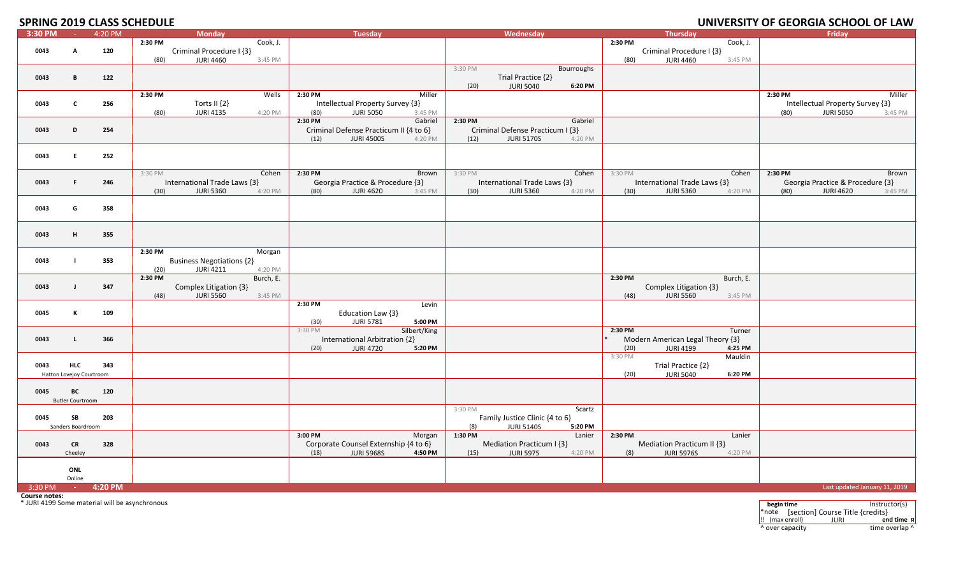# **2019 CLASS SCHEDULE UNIVERSITY OF GEORGIA SCHOOL OF LAW**

| 3:30 PM                                                                | <b>Contract</b>          | 4:20 PM |         | <b>Monday</b>                    |           |                 | <b>Tuesday</b>                         |                    |         | Wednesday                        |            |         | <b>Thursday</b>                  |           |            | Friday                           |               |
|------------------------------------------------------------------------|--------------------------|---------|---------|----------------------------------|-----------|-----------------|----------------------------------------|--------------------|---------|----------------------------------|------------|---------|----------------------------------|-----------|------------|----------------------------------|---------------|
|                                                                        |                          |         | 2:30 PM |                                  | Cook, J.  |                 |                                        |                    |         |                                  |            | 2:30 PM |                                  | Cook, J.  |            |                                  |               |
| 0043                                                                   | A                        | 120     |         | Criminal Procedure I {3}         |           |                 |                                        |                    |         |                                  |            |         | Criminal Procedure I {3}         |           |            |                                  |               |
|                                                                        |                          |         | (80)    | <b>JURI 4460</b>                 | 3:45 PM   |                 |                                        |                    |         |                                  |            | (80)    | <b>JURI 4460</b>                 | 3:45 PM   |            |                                  |               |
|                                                                        |                          |         |         |                                  |           |                 |                                        |                    | 3:30 PM |                                  | Bourroughs |         |                                  |           |            |                                  |               |
| 0043                                                                   | В                        | 122     |         |                                  |           |                 |                                        |                    |         | Trial Practice {2}               |            |         |                                  |           |            |                                  |               |
|                                                                        |                          |         |         |                                  |           |                 |                                        |                    | (20)    | <b>JURI 5040</b>                 | 6:20 PM    |         |                                  |           |            |                                  |               |
|                                                                        |                          |         | 2:30 PM |                                  | Wells     | 2:30 PM         |                                        | Miller             |         |                                  |            |         |                                  |           | 2:30 PM    |                                  | Miller        |
| 0043                                                                   | $\mathbf{C}$             | 256     |         | Torts II $\{2\}$                 |           |                 | Intellectual Property Survey {3}       |                    |         |                                  |            |         |                                  |           |            | Intellectual Property Survey {3} |               |
|                                                                        |                          |         | (80)    | <b>JURI 4135</b>                 | 4:20 PM   | (80)<br>2:30 PM | <b>JURI 5050</b>                       | 3:45 PM<br>Gabriel | 2:30 PM |                                  | Gabriel    |         |                                  |           | (80)       | <b>JURI 5050</b>                 | 3:45 PM       |
| 0043                                                                   | D                        | 254     |         |                                  |           |                 | Criminal Defense Practicum II {4 to 6} |                    |         | Criminal Defense Practicum I {3} |            |         |                                  |           |            |                                  |               |
|                                                                        |                          |         |         |                                  |           | (12)            | <b>JURI 4500S</b>                      | 4:20 PM            | (12)    | <b>JURI 5170S</b>                | 4:20 PM    |         |                                  |           |            |                                  |               |
|                                                                        |                          |         |         |                                  |           |                 |                                        |                    |         |                                  |            |         |                                  |           |            |                                  |               |
| 0043                                                                   | E.                       | 252     |         |                                  |           |                 |                                        |                    |         |                                  |            |         |                                  |           |            |                                  |               |
|                                                                        |                          |         |         |                                  |           |                 |                                        |                    |         |                                  |            |         |                                  |           |            |                                  |               |
|                                                                        |                          |         | 3:30 PM |                                  | Cohen     | 2:30 PM         |                                        | Brown              | 3:30 PM |                                  | Cohen      | 3:30 PM |                                  | Cohen     | 2:30 PM    |                                  | Brown         |
| 0043                                                                   | F.                       | 246     |         | International Trade Laws {3}     |           |                 | Georgia Practice & Procedure {3}       |                    |         | International Trade Laws {3}     |            |         | International Trade Laws {3}     |           |            | Georgia Practice & Procedure {3} |               |
|                                                                        |                          |         | (30)    | <b>JURI 5360</b>                 | 4:20 PM   | (80)            | <b>JURI 4620</b>                       | 3:45 PM            | (30)    | <b>JURI 5360</b>                 | 4:20 PM    | (30)    | <b>JURI 5360</b>                 | 4:20 PM   | (80)       | <b>JURI 4620</b>                 | 3:45 PM       |
|                                                                        |                          |         |         |                                  |           |                 |                                        |                    |         |                                  |            |         |                                  |           |            |                                  |               |
| 0043                                                                   | G                        | 358     |         |                                  |           |                 |                                        |                    |         |                                  |            |         |                                  |           |            |                                  |               |
|                                                                        |                          |         |         |                                  |           |                 |                                        |                    |         |                                  |            |         |                                  |           |            |                                  |               |
| 0043                                                                   | н.                       | 355     |         |                                  |           |                 |                                        |                    |         |                                  |            |         |                                  |           |            |                                  |               |
|                                                                        |                          |         |         |                                  |           |                 |                                        |                    |         |                                  |            |         |                                  |           |            |                                  |               |
|                                                                        |                          |         | 2:30 PM |                                  | Morgan    |                 |                                        |                    |         |                                  |            |         |                                  |           |            |                                  |               |
| 0043                                                                   |                          | 353     |         | <b>Business Negotiations {2}</b> |           |                 |                                        |                    |         |                                  |            |         |                                  |           |            |                                  |               |
|                                                                        |                          |         | (20)    | <b>JURI 4211</b>                 | 4:20 PM   |                 |                                        |                    |         |                                  |            |         |                                  |           |            |                                  |               |
|                                                                        |                          |         | 2:30 PM |                                  | Burch, E. |                 |                                        |                    |         |                                  |            | 2:30 PM |                                  | Burch, E. |            |                                  |               |
| 0043                                                                   | $\mathbf{I}$             | 347     |         | Complex Litigation {3}           |           |                 |                                        |                    |         |                                  |            |         | Complex Litigation {3}           |           |            |                                  |               |
|                                                                        |                          |         | (48)    | <b>JURI 5560</b>                 | 3:45 PM   |                 |                                        |                    |         |                                  |            | (48)    | <b>JURI 5560</b>                 | 3:45 PM   |            |                                  |               |
|                                                                        |                          |         |         |                                  |           | 2:30 PM         |                                        | Levin              |         |                                  |            |         |                                  |           |            |                                  |               |
| 0045                                                                   | к                        | 109     |         |                                  |           |                 | Education Law {3}                      | 5:00 PM            |         |                                  |            |         |                                  |           |            |                                  |               |
|                                                                        |                          |         |         |                                  |           | (30)<br>3:30 PM | <b>JURI 5781</b>                       | Silbert/King       |         |                                  |            | 2:30 PM |                                  | Turner    |            |                                  |               |
| 0043                                                                   | $\mathsf{L}$             | 366     |         |                                  |           |                 | International Arbitration {2}          |                    |         |                                  |            |         | Modern American Legal Theory {3} |           |            |                                  |               |
|                                                                        |                          |         |         |                                  |           | (20)            | <b>JURI 4720</b>                       | 5:20 PM            |         |                                  |            | (20)    | <b>JURI 4199</b>                 | 4:25 PM   |            |                                  |               |
|                                                                        |                          |         |         |                                  |           |                 |                                        |                    |         |                                  |            | 3:30 PM |                                  | Mauldin   |            |                                  |               |
| 0043                                                                   | <b>HLC</b>               | 343     |         |                                  |           |                 |                                        |                    |         |                                  |            |         | Trial Practice {2}               |           |            |                                  |               |
|                                                                        | Hatton Lovejoy Courtroom |         |         |                                  |           |                 |                                        |                    |         |                                  |            | (20)    | <b>JURI 5040</b>                 | 6:20 PM   |            |                                  |               |
|                                                                        |                          |         |         |                                  |           |                 |                                        |                    |         |                                  |            |         |                                  |           |            |                                  |               |
| 0045                                                                   | ВC                       | 120     |         |                                  |           |                 |                                        |                    |         |                                  |            |         |                                  |           |            |                                  |               |
|                                                                        | <b>Butler Courtroom</b>  |         |         |                                  |           |                 |                                        |                    | 3:30 PM |                                  | Scartz     |         |                                  |           |            |                                  |               |
| 0045                                                                   | SB                       | 203     |         |                                  |           |                 |                                        |                    |         | Family Justice Clinic {4 to 6}   |            |         |                                  |           |            |                                  |               |
|                                                                        | Sanders Boardroom        |         |         |                                  |           |                 |                                        |                    | (8)     | <b>JURI 5140S</b>                | 5:20 PM    |         |                                  |           |            |                                  |               |
|                                                                        |                          |         |         |                                  |           | 3:00 PM         |                                        | Morgan             | 1:30 PM |                                  | Lanier     | 2:30 PM |                                  | Lanier    |            |                                  |               |
| 0043                                                                   | <b>CR</b>                | 328     |         |                                  |           |                 | Corporate Counsel Externship {4 to 6}  |                    |         | Mediation Practicum I {3}        |            |         | Mediation Practicum II {3}       |           |            |                                  |               |
|                                                                        | Cheeley                  |         |         |                                  |           | (18)            | <b>JURI 5968S</b>                      | 4:50 PM            | (15)    | <b>JURI 5975</b>                 | 4:20 PM    | (8)     | <b>JURI 5976S</b>                | 4:20 PM   |            |                                  |               |
|                                                                        |                          |         |         |                                  |           |                 |                                        |                    |         |                                  |            |         |                                  |           |            |                                  |               |
|                                                                        | ONL                      |         |         |                                  |           |                 |                                        |                    |         |                                  |            |         |                                  |           |            |                                  |               |
|                                                                        | Online                   |         |         |                                  |           |                 |                                        |                    |         |                                  |            |         |                                  |           |            |                                  |               |
| 3:30 PM                                                                |                          | 4:20 PM |         |                                  |           |                 |                                        |                    |         |                                  |            |         |                                  |           |            | Last updated January 11, 2019    |               |
| <b>Course notes:</b><br>* JURI 4199 Some material will be asynchronous |                          |         |         |                                  |           |                 |                                        |                    |         |                                  |            |         |                                  |           | begin time |                                  | Instructor(s) |
|                                                                        |                          |         |         |                                  |           |                 |                                        |                    |         |                                  |            |         |                                  |           |            |                                  |               |

\*note [section] Course Title {credits} !! (max enroll) JURI **end time ¤** ^ over capacity  $\bullet$  time overlap ^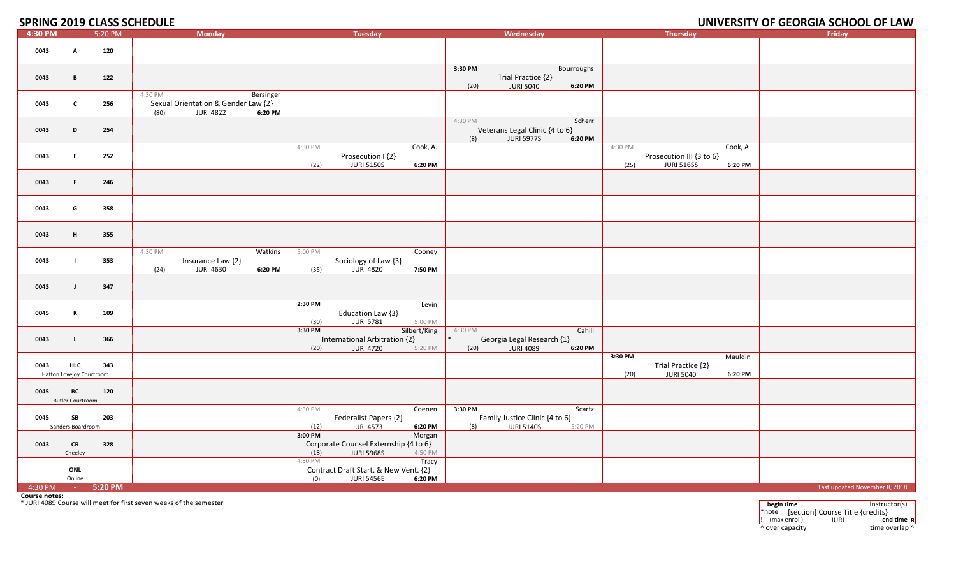#### **2019 CLASS SCHEDULE UNIVERSITY OF GEORGIA SCHOOL OF LAW**

| 4:30 PM | $\sim 100$                             | 5:20 PM | <b>Monday</b>                                                                                      | <b>Tuesday</b>                                                                                     | Wednesday                                                                                  | Thursday                                                                                | Friday                        |
|---------|----------------------------------------|---------|----------------------------------------------------------------------------------------------------|----------------------------------------------------------------------------------------------------|--------------------------------------------------------------------------------------------|-----------------------------------------------------------------------------------------|-------------------------------|
| 0043    | A                                      | 120     |                                                                                                    |                                                                                                    |                                                                                            |                                                                                         |                               |
| 0043    | B                                      | 122     |                                                                                                    |                                                                                                    | 3:30 PM<br><b>Bourroughs</b><br>Trial Practice {2}<br><b>JURI 5040</b><br>6:20 PM<br>(20)  |                                                                                         |                               |
| 0043    | $\mathbf{c}$                           | 256     | 4:30 PM<br>Bersinger<br>Sexual Orientation & Gender Law {2}<br><b>JURI 4822</b><br>6:20 PM<br>(80) |                                                                                                    |                                                                                            |                                                                                         |                               |
| 0043    | D                                      | 254     |                                                                                                    |                                                                                                    | 4:30 PM<br>Scherr<br>Veterans Legal Clinic {4 to 6}<br>(8)<br><b>JURI 5977S</b><br>6:20 PM |                                                                                         |                               |
| 0043    | E.                                     | 252     |                                                                                                    | 4:30 PM<br>Cook, A.<br>Prosecution I {2}<br><b>JURI 5150S</b><br>6:20 PM<br>(22)                   |                                                                                            | 4:30 PM<br>Cook, A.<br>Prosecution III {3 to 6}<br><b>JURI 5165S</b><br>(25)<br>6:20 PM |                               |
| 0043    | F                                      | 246     |                                                                                                    |                                                                                                    |                                                                                            |                                                                                         |                               |
| 0043    | G                                      | 358     |                                                                                                    |                                                                                                    |                                                                                            |                                                                                         |                               |
| 0043    | н                                      | 355     |                                                                                                    |                                                                                                    |                                                                                            |                                                                                         |                               |
| 0043    | - 1                                    | 353     | 4:30 PM<br>Watkins<br>Insurance Law {2}<br><b>JURI 4630</b><br>6:20 PM<br>(24)                     | 5:00 PM<br>Cooney<br>Sociology of Law {3}<br><b>JURI 4820</b><br>(35)<br>7:50 PM                   |                                                                                            |                                                                                         |                               |
| 0043    | $\mathbf{J}$                           | 347     |                                                                                                    |                                                                                                    |                                                                                            |                                                                                         |                               |
| 0045    | к                                      | 109     |                                                                                                    | 2:30 PM<br>Levin<br>Education Law {3}<br><b>JURI 5781</b><br>5:00 PM<br>(30)                       |                                                                                            |                                                                                         |                               |
| 0043    | L                                      | 366     |                                                                                                    | 3:30 PM<br>Silbert/King<br>International Arbitration {2}<br>(20)<br><b>JURI 4720</b><br>5:20 PM    | 4:30 PM<br>Cahill<br>Georgia Legal Research {1}<br><b>JURI 4089</b><br>(20)<br>6:20 PM     |                                                                                         |                               |
| 0043    | <b>HLC</b><br>Hatton Lovejoy Courtroom | 343     |                                                                                                    |                                                                                                    |                                                                                            | 3:30 PM<br>Mauldin<br>Trial Practice {2}<br>(20)<br><b>JURI 5040</b><br>6:20 PM         |                               |
| 0045    | BC<br><b>Butler Courtroom</b>          | 120     |                                                                                                    |                                                                                                    |                                                                                            |                                                                                         |                               |
| 0045    | SB<br>Sanders Boardroom                | 203     |                                                                                                    | 4:30 PM<br>Coenen<br>Federalist Papers {2}<br><b>JURI 4573</b><br>(12)<br>6:20 PM                  | 3:30 PM<br>Scartz<br>Family Justice Clinic {4 to 6}<br><b>JURI 5140S</b><br>(8)<br>5:20 PM |                                                                                         |                               |
| 0043    | <b>CR</b><br>Cheeley                   | 328     |                                                                                                    | 3:00 PM<br>Morgan<br>Corporate Counsel Externship {4 to 6}<br><b>JURI 5968S</b><br>4:50 PM<br>(18) |                                                                                            |                                                                                         |                               |
|         | ONL<br>Online                          |         |                                                                                                    | 4:30 PM<br>Tracy<br>Contract Draft Start. & New Vent. {2}<br><b>JURI 5456E</b><br>6:20 PM<br>(0)   |                                                                                            |                                                                                         |                               |
| 4:30 PM | <b>College</b>                         | 5:20 PM |                                                                                                    |                                                                                                    |                                                                                            |                                                                                         | Last updated November 8, 2018 |

**Course notes:** \* JURI 4089 Course will meet for first seven

n weeks of the semester **begin** time Instructor(s) \*note [section] Course Title {credits} !! (max enroll) JURI **end time ¤** ^ over capacity  $\bullet$  time overlap ^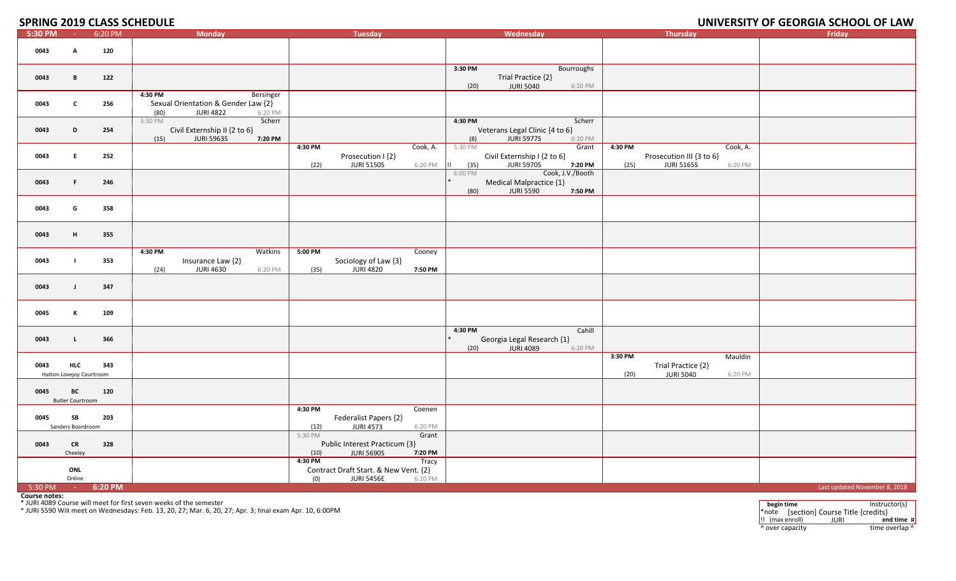## **2019 CLASS SCHEDULE UNIVERSITY OF GEORGIA SCHOOL OF LAW**

| 5:30 PM                                                                                                                                                                                                                               | <b>College</b>                         | 6:20 PM | <b>Monday</b>                                                                                      | <b>Tuesday</b>                                                                                   | Wednesday                                                                                     | <b>Thursday</b>                                                                         | Friday                        |
|---------------------------------------------------------------------------------------------------------------------------------------------------------------------------------------------------------------------------------------|----------------------------------------|---------|----------------------------------------------------------------------------------------------------|--------------------------------------------------------------------------------------------------|-----------------------------------------------------------------------------------------------|-----------------------------------------------------------------------------------------|-------------------------------|
| 0043                                                                                                                                                                                                                                  | A                                      | 120     |                                                                                                    |                                                                                                  |                                                                                               |                                                                                         |                               |
| 0043                                                                                                                                                                                                                                  | В                                      | 122     |                                                                                                    |                                                                                                  | 3:30 PM<br>Bourroughs<br>Trial Practice {2}<br><b>JURI 5040</b><br>(20)<br>6:20 PM            |                                                                                         |                               |
| 0043                                                                                                                                                                                                                                  | C                                      | 256     | 4:30 PM<br>Bersinger<br>Sexual Orientation & Gender Law {2}<br><b>JURI 4822</b><br>6:20 PM<br>(80) |                                                                                                  |                                                                                               |                                                                                         |                               |
| 0043                                                                                                                                                                                                                                  | D                                      | 254     | 5:30 PM<br>Scherr<br>Civil Externship II {2 to 6}<br><b>JURI 5963S</b><br>7:20 PM<br>(15)          |                                                                                                  | 4:30 PM<br>Scherr<br>Veterans Legal Clinic {4 to 6}<br>(8)<br><b>JURI 5977S</b><br>6:20 PM    |                                                                                         |                               |
| 0043                                                                                                                                                                                                                                  | E.                                     | 252     |                                                                                                    | Cook, A.<br>4:30 PM<br>Prosecution I {2}<br><b>JURI 5150S</b><br>(22)<br>6:20 PM                 | 5:30 PM<br>Grant<br>Civil Externship I {2 to 6}<br><b>JURI 5970S</b><br>(35)<br>7:20 PM       | Cook, A.<br>4:30 PM<br>Prosecution III {3 to 6}<br><b>JURI 5165S</b><br>(25)<br>6:20 PM |                               |
| 0043                                                                                                                                                                                                                                  | F.                                     | 246     |                                                                                                    |                                                                                                  | Cook, J.V./Booth<br>6:00 PM<br>Medical Malpractice {1}<br><b>JURI 5590</b><br>7:50 PM<br>(80) |                                                                                         |                               |
| 0043                                                                                                                                                                                                                                  | G                                      | 358     |                                                                                                    |                                                                                                  |                                                                                               |                                                                                         |                               |
| 0043                                                                                                                                                                                                                                  | н.                                     | 355     |                                                                                                    |                                                                                                  |                                                                                               |                                                                                         |                               |
| 0043                                                                                                                                                                                                                                  |                                        | 353     | 4:30 PM<br>Watkins<br>Insurance Law {2}<br>(24)<br><b>JURI 4630</b><br>6:20 PM                     | 5:00 PM<br>Cooney<br>Sociology of Law {3}<br>(35)<br><b>JURI 4820</b><br>7:50 PM                 |                                                                                               |                                                                                         |                               |
| 0043                                                                                                                                                                                                                                  | $\mathbf{J}$                           | 347     |                                                                                                    |                                                                                                  |                                                                                               |                                                                                         |                               |
| 0045                                                                                                                                                                                                                                  | К                                      | 109     |                                                                                                    |                                                                                                  |                                                                                               |                                                                                         |                               |
| 0043                                                                                                                                                                                                                                  | $\mathbf{L}$                           | 366     |                                                                                                    |                                                                                                  | 4:30 PM<br>Cahill<br>Georgia Legal Research {1}<br><b>JURI 4089</b><br>(20)<br>6:20 PM        |                                                                                         |                               |
| 0043                                                                                                                                                                                                                                  | <b>HLC</b><br>Hatton Lovejoy Courtroom | 343     |                                                                                                    |                                                                                                  |                                                                                               | 3:30 PM<br>Mauldin<br>Trial Practice {2}<br><b>JURI 5040</b><br>(20)<br>6:20 PM         |                               |
| 0045                                                                                                                                                                                                                                  | BC<br><b>Butler Courtroom</b>          | 120     |                                                                                                    |                                                                                                  |                                                                                               |                                                                                         |                               |
| 0045                                                                                                                                                                                                                                  | SB<br>Sanders Boardroom                | 203     |                                                                                                    | 4:30 PM<br>Coenen<br>Federalist Papers {2}<br><b>JURI 4573</b><br>6:20 PM<br>(12)                |                                                                                               |                                                                                         |                               |
| 0043                                                                                                                                                                                                                                  | <b>CR</b><br>Cheeley                   | 328     |                                                                                                    | 5:30 PM<br>Grant<br>Public Interest Practicum {3}<br><b>JURI 5690S</b><br>7:20 PM<br>(10)        |                                                                                               |                                                                                         |                               |
|                                                                                                                                                                                                                                       | ONL<br>Online                          |         |                                                                                                    | 4:30 PM<br>Tracy<br>Contract Draft Start. & New Vent. {2}<br><b>JURI 5456E</b><br>(0)<br>6:20 PM |                                                                                               |                                                                                         |                               |
| 5:30 PM                                                                                                                                                                                                                               | $\sim 10^{-1}$                         | 6:20 PM |                                                                                                    |                                                                                                  |                                                                                               |                                                                                         | Last updated November 8, 2018 |
| <b>Course notes:</b><br>* JURI 4089 Course will meet for first seven weeks of the semester<br>Instructor(s)<br>begin time<br>* JURI 5590 Will meet on Wednesdays: Feb. 13, 20, 27; Mar. 6, 20, 27; Apr. 3; final exam Apr. 10, 6:00PM |                                        |         |                                                                                                    |                                                                                                  |                                                                                               |                                                                                         |                               |

\*note [section] Course Title {credits}<br> $\vdots$  (max enroll) JURI end **11.** (max enroll) **JURI end time x**<br> **12.** (a) **end time** overlap **1** ^ over capacity  $\bullet$  time overlap ^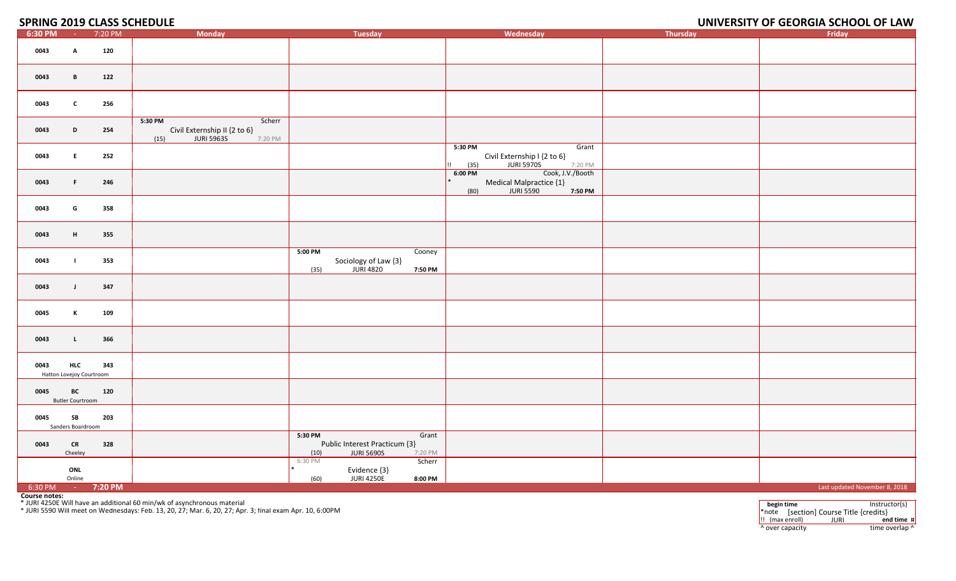#### **2019 CLASS SCHEDULE UNIVERSITY OF GEORGIA SCHOOL OF LAW**

| 6:30 PM                                                                                                                                                                                                                                                                       | $\sim 100$                             | 7:20 PM            | <b>Monday</b>                                                                             | <b>Tuesday</b>                                                                            | Wednesday                                                                                       | <b>Thursday</b> | Friday                        |
|-------------------------------------------------------------------------------------------------------------------------------------------------------------------------------------------------------------------------------------------------------------------------------|----------------------------------------|--------------------|-------------------------------------------------------------------------------------------|-------------------------------------------------------------------------------------------|-------------------------------------------------------------------------------------------------|-----------------|-------------------------------|
| 0043                                                                                                                                                                                                                                                                          | А                                      | 120                |                                                                                           |                                                                                           |                                                                                                 |                 |                               |
| 0043                                                                                                                                                                                                                                                                          | B                                      | 122                |                                                                                           |                                                                                           |                                                                                                 |                 |                               |
| 0043                                                                                                                                                                                                                                                                          | C                                      | 256                |                                                                                           |                                                                                           |                                                                                                 |                 |                               |
| 0043                                                                                                                                                                                                                                                                          | D                                      | 254                | 5:30 PM<br>Scherr<br>Civil Externship II {2 to 6}<br>(15)<br><b>JURI 5963S</b><br>7:20 PM |                                                                                           |                                                                                                 |                 |                               |
| 0043                                                                                                                                                                                                                                                                          | Е.                                     | 252                |                                                                                           |                                                                                           | 5:30 PM<br>Grant<br>Civil Externship I {2 to 6}<br><b>JURI 5970S</b><br>(35)<br>7:20 PM         |                 |                               |
| 0043                                                                                                                                                                                                                                                                          | F.                                     | 246                |                                                                                           |                                                                                           | $6:00$ PM<br>Cook, J.V./Booth<br>Medical Malpractice {1}<br><b>JURI 5590</b><br>(80)<br>7:50 PM |                 |                               |
| 0043                                                                                                                                                                                                                                                                          | G                                      | 358                |                                                                                           |                                                                                           |                                                                                                 |                 |                               |
| 0043                                                                                                                                                                                                                                                                          | H                                      | 355                |                                                                                           |                                                                                           |                                                                                                 |                 |                               |
| 0043                                                                                                                                                                                                                                                                          | п.                                     | 353                |                                                                                           | 5:00 PM<br>Cooney<br>Sociology of Law {3}<br><b>JURI 4820</b><br>7:50 PM<br>(35)          |                                                                                                 |                 |                               |
| 0043                                                                                                                                                                                                                                                                          | $\mathbf{J}$                           | 347                |                                                                                           |                                                                                           |                                                                                                 |                 |                               |
| 0045                                                                                                                                                                                                                                                                          | к                                      | 109                |                                                                                           |                                                                                           |                                                                                                 |                 |                               |
| 0043                                                                                                                                                                                                                                                                          | $\mathbf{L}$                           | 366                |                                                                                           |                                                                                           |                                                                                                 |                 |                               |
| 0043                                                                                                                                                                                                                                                                          | <b>HLC</b><br>Hatton Lovejoy Courtroom | 343                |                                                                                           |                                                                                           |                                                                                                 |                 |                               |
| 0045                                                                                                                                                                                                                                                                          | BC<br><b>Butler Courtroom</b>          | 120                |                                                                                           |                                                                                           |                                                                                                 |                 |                               |
| 0045                                                                                                                                                                                                                                                                          | SB<br>Sanders Boardroom                | 203                |                                                                                           |                                                                                           |                                                                                                 |                 |                               |
| 0043                                                                                                                                                                                                                                                                          | <b>CR</b><br>Cheeley                   | 328                |                                                                                           | 5:30 PM<br>Grant<br>Public Interest Practicum {3}<br><b>JURI 5690S</b><br>(10)<br>7:20 PM |                                                                                                 |                 |                               |
|                                                                                                                                                                                                                                                                               | ONL<br>Online                          |                    |                                                                                           | 6:30 PM<br>Scherr<br>Evidence {3}<br><b>JURI 4250E</b><br>(60)<br>8:00 PM                 |                                                                                                 |                 |                               |
| 6:30 PM                                                                                                                                                                                                                                                                       |                                        | $-7:20 \text{ PM}$ |                                                                                           |                                                                                           |                                                                                                 |                 | Last updated November 8, 2018 |
| Course notes:<br>* JURI 4250E Will have an additional 60 min/wk of asynchronous material<br>begin time<br>Instructor(s)<br>* JURI 5590 Will meet on Wednesdays: Feb. 13, 20, 27; Mar. 6, 20, 27; Apr. 3; final exam Apr. 10, 6:00PM<br>*note [section] Course Title {credits} |                                        |                    |                                                                                           |                                                                                           |                                                                                                 |                 |                               |

\*note [section] Course Title {credits}<br> $\vdots$  (max enroll) JURI end **iii** (max enroll) **JURI end time x**<br> **b** over capacity **time** overlap **b** ^ over capacity  $\bullet$  time overlap ^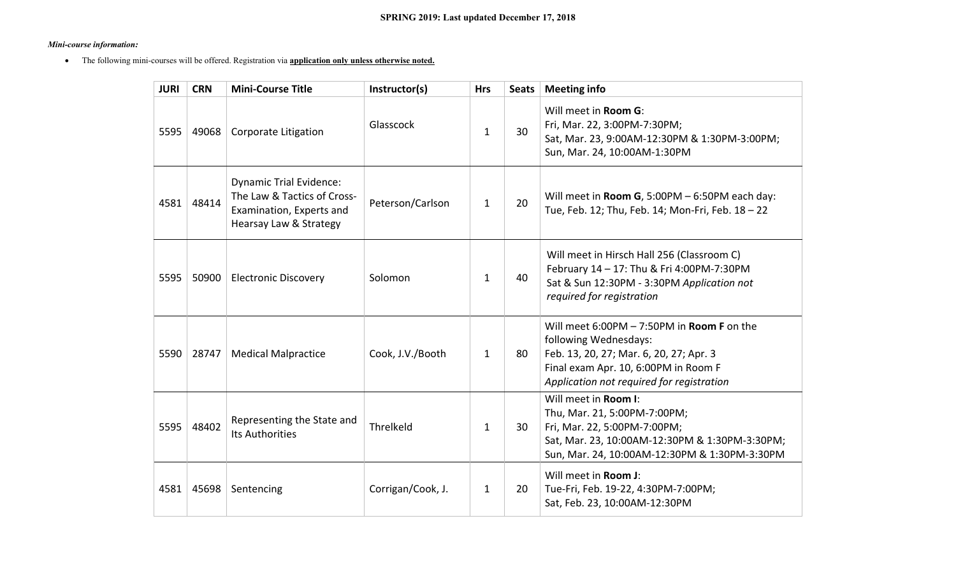#### *Mini-course information:*

The following mini-courses will be offered. Registration via **application only unless otherwise noted.**

| <b>JURI</b> | <b>CRN</b> | <b>Mini-Course Title</b>                                                                                            | Instructor(s)     | <b>Hrs</b>   | <b>Seats</b> | <b>Meeting info</b>                                                                                                                                                                                   |
|-------------|------------|---------------------------------------------------------------------------------------------------------------------|-------------------|--------------|--------------|-------------------------------------------------------------------------------------------------------------------------------------------------------------------------------------------------------|
| 5595        | 49068      | Corporate Litigation                                                                                                | Glasscock         | $\mathbf{1}$ | 30           | Will meet in Room G:<br>Fri, Mar. 22, 3:00PM-7:30PM;<br>Sat, Mar. 23, 9:00AM-12:30PM & 1:30PM-3:00PM;<br>Sun, Mar. 24, 10:00AM-1:30PM                                                                 |
| 4581        | 48414      | <b>Dynamic Trial Evidence:</b><br>The Law & Tactics of Cross-<br>Examination, Experts and<br>Hearsay Law & Strategy | Peterson/Carlson  | $\mathbf{1}$ | 20           | Will meet in Room G, 5:00PM $-6:50$ PM each day:<br>Tue, Feb. 12; Thu, Feb. 14; Mon-Fri, Feb. 18 - 22                                                                                                 |
| 5595        | 50900      | <b>Electronic Discovery</b>                                                                                         | Solomon           | $\mathbf{1}$ | 40           | Will meet in Hirsch Hall 256 (Classroom C)<br>February 14 - 17: Thu & Fri 4:00PM-7:30PM<br>Sat & Sun 12:30PM - 3:30PM Application not<br>required for registration                                    |
| 5590        | 28747      | <b>Medical Malpractice</b>                                                                                          | Cook, J.V./Booth  | $\mathbf{1}$ | 80           | Will meet 6:00PM $-$ 7:50PM in Room F on the<br>following Wednesdays:<br>Feb. 13, 20, 27; Mar. 6, 20, 27; Apr. 3<br>Final exam Apr. 10, 6:00PM in Room F<br>Application not required for registration |
| 5595        | 48402      | Representing the State and<br><b>Its Authorities</b>                                                                | Threlkeld         | $\mathbf{1}$ | 30           | Will meet in Room I:<br>Thu, Mar. 21, 5:00PM-7:00PM;<br>Fri, Mar. 22, 5:00PM-7:00PM;<br>Sat, Mar. 23, 10:00AM-12:30PM & 1:30PM-3:30PM;<br>Sun, Mar. 24, 10:00AM-12:30PM & 1:30PM-3:30PM               |
| 4581        | 45698      | Sentencing                                                                                                          | Corrigan/Cook, J. | $\mathbf{1}$ | 20           | Will meet in <b>Room J:</b><br>Tue-Fri, Feb. 19-22, 4:30PM-7:00PM;<br>Sat, Feb. 23, 10:00AM-12:30PM                                                                                                   |